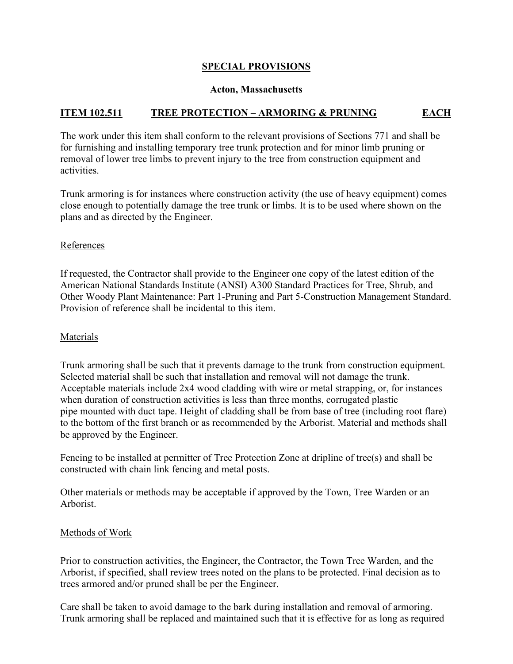## **SPECIAL PROVISIONS**

## **Acton, Massachusetts**

## **ITEM 102.511 TREE PROTECTION – ARMORING & PRUNING EACH**

The work under this item shall conform to the relevant provisions of Sections 771 and shall be for furnishing and installing temporary tree trunk protection and for minor limb pruning or removal of lower tree limbs to prevent injury to the tree from construction equipment and activities.

Trunk armoring is for instances where construction activity (the use of heavy equipment) comes close enough to potentially damage the tree trunk or limbs. It is to be used where shown on the plans and as directed by the Engineer.

## References

If requested, the Contractor shall provide to the Engineer one copy of the latest edition of the American National Standards Institute (ANSI) A300 Standard Practices for Tree, Shrub, and Other Woody Plant Maintenance: Part 1-Pruning and Part 5-Construction Management Standard. Provision of reference shall be incidental to this item.

## Materials

Trunk armoring shall be such that it prevents damage to the trunk from construction equipment. Selected material shall be such that installation and removal will not damage the trunk. Acceptable materials include 2x4 wood cladding with wire or metal strapping, or, for instances when duration of construction activities is less than three months, corrugated plastic pipe mounted with duct tape. Height of cladding shall be from base of tree (including root flare) to the bottom of the first branch or as recommended by the Arborist. Material and methods shall be approved by the Engineer.

Fencing to be installed at permitter of Tree Protection Zone at dripline of tree(s) and shall be constructed with chain link fencing and metal posts.

Other materials or methods may be acceptable if approved by the Town, Tree Warden or an Arborist.

## Methods of Work

Prior to construction activities, the Engineer, the Contractor, the Town Tree Warden, and the Arborist, if specified, shall review trees noted on the plans to be protected. Final decision as to trees armored and/or pruned shall be per the Engineer.

Care shall be taken to avoid damage to the bark during installation and removal of armoring. Trunk armoring shall be replaced and maintained such that it is effective for as long as required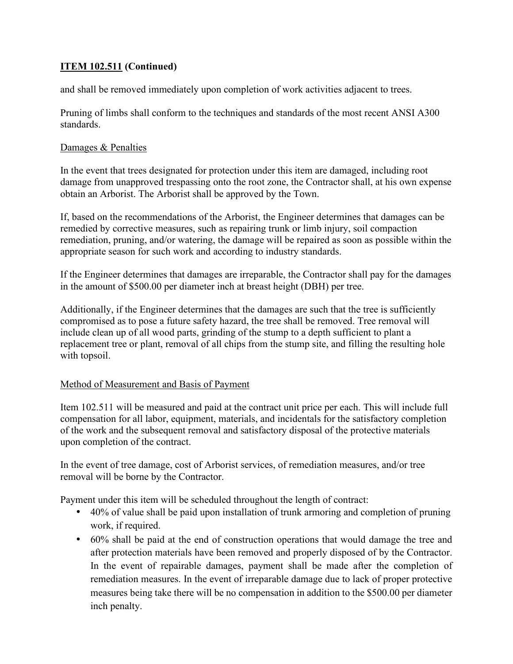# **ITEM 102.511 (Continued)**

and shall be removed immediately upon completion of work activities adjacent to trees.

Pruning of limbs shall conform to the techniques and standards of the most recent ANSI A300 standards.

# Damages & Penalties

In the event that trees designated for protection under this item are damaged, including root damage from unapproved trespassing onto the root zone, the Contractor shall, at his own expense obtain an Arborist. The Arborist shall be approved by the Town.

If, based on the recommendations of the Arborist, the Engineer determines that damages can be remedied by corrective measures, such as repairing trunk or limb injury, soil compaction remediation, pruning, and/or watering, the damage will be repaired as soon as possible within the appropriate season for such work and according to industry standards.

If the Engineer determines that damages are irreparable, the Contractor shall pay for the damages in the amount of \$500.00 per diameter inch at breast height (DBH) per tree.

Additionally, if the Engineer determines that the damages are such that the tree is sufficiently compromised as to pose a future safety hazard, the tree shall be removed. Tree removal will include clean up of all wood parts, grinding of the stump to a depth sufficient to plant a replacement tree or plant, removal of all chips from the stump site, and filling the resulting hole with topsoil.

# Method of Measurement and Basis of Payment

Item 102.511 will be measured and paid at the contract unit price per each. This will include full compensation for all labor, equipment, materials, and incidentals for the satisfactory completion of the work and the subsequent removal and satisfactory disposal of the protective materials upon completion of the contract.

In the event of tree damage, cost of Arborist services, of remediation measures, and/or tree removal will be borne by the Contractor.

Payment under this item will be scheduled throughout the length of contract:

- 40% of value shall be paid upon installation of trunk armoring and completion of pruning work, if required.
- 60% shall be paid at the end of construction operations that would damage the tree and after protection materials have been removed and properly disposed of by the Contractor. In the event of repairable damages, payment shall be made after the completion of remediation measures. In the event of irreparable damage due to lack of proper protective measures being take there will be no compensation in addition to the \$500.00 per diameter inch penalty.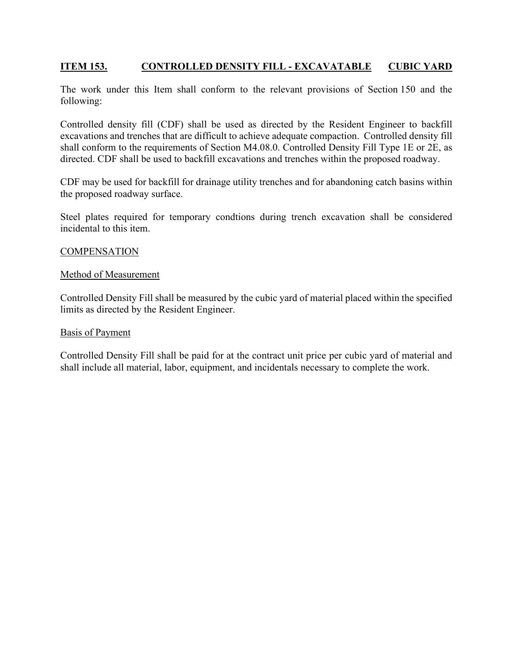# **ITEM 153. CONTROLLED DENSITY FILL - EXCAVATABLE CUBIC YARD**

The work under this Item shall conform to the relevant provisions of Section 150 and the following:

Controlled density fill (CDF) shall be used as directed by the Resident Engineer to backfill excavations and trenches that are difficult to achieve adequate compaction. Controlled density fill shall conform to the requirements of Section M4.08.0. Controlled Density Fill Type 1E or 2E, as directed. CDF shall be used to backfill excavations and trenches within the proposed roadway.

CDF may be used for backfill for drainage utility trenches and for abandoning catch basins within the proposed roadway surface.

Steel plates required for temporary condtions during trench excavation shall be considered incidental to this item.

#### **COMPENSATION**

#### Method of Measurement

Controlled Density Fill shall be measured by the cubic yard of material placed within the specified limits as directed by the Resident Engineer.

#### Basis of Payment

Controlled Density Fill shall be paid for at the contract unit price per cubic yard of material and shall include all material, labor, equipment, and incidentals necessary to complete the work.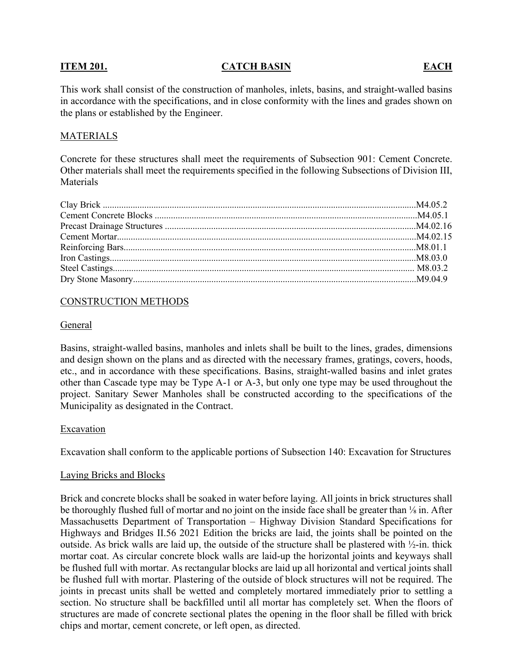#### **ITEM 201.** CATCH BASIN EACH

This work shall consist of the construction of manholes, inlets, basins, and straight-walled basins in accordance with the specifications, and in close conformity with the lines and grades shown on the plans or established by the Engineer.

## MATERIALS

Concrete for these structures shall meet the requirements of Subsection 901: Cement Concrete. Other materials shall meet the requirements specified in the following Subsections of Division III, **Materials** 

## CONSTRUCTION METHODS

#### General

Basins, straight-walled basins, manholes and inlets shall be built to the lines, grades, dimensions and design shown on the plans and as directed with the necessary frames, gratings, covers, hoods, etc., and in accordance with these specifications. Basins, straight-walled basins and inlet grates other than Cascade type may be Type A-1 or A-3, but only one type may be used throughout the project. Sanitary Sewer Manholes shall be constructed according to the specifications of the Municipality as designated in the Contract.

#### Excavation

Excavation shall conform to the applicable portions of Subsection 140: Excavation for Structures

#### Laying Bricks and Blocks

Brick and concrete blocks shall be soaked in water before laying. All joints in brick structures shall be thoroughly flushed full of mortar and no joint on the inside face shall be greater than <sup>1</sup>/<sub>8</sub> in. After Massachusetts Department of Transportation – Highway Division Standard Specifications for Highways and Bridges II.56 2021 Edition the bricks are laid, the joints shall be pointed on the outside. As brick walls are laid up, the outside of the structure shall be plastered with ½-in. thick mortar coat. As circular concrete block walls are laid-up the horizontal joints and keyways shall be flushed full with mortar. As rectangular blocks are laid up all horizontal and vertical joints shall be flushed full with mortar. Plastering of the outside of block structures will not be required. The joints in precast units shall be wetted and completely mortared immediately prior to settling a section. No structure shall be backfilled until all mortar has completely set. When the floors of structures are made of concrete sectional plates the opening in the floor shall be filled with brick chips and mortar, cement concrete, or left open, as directed.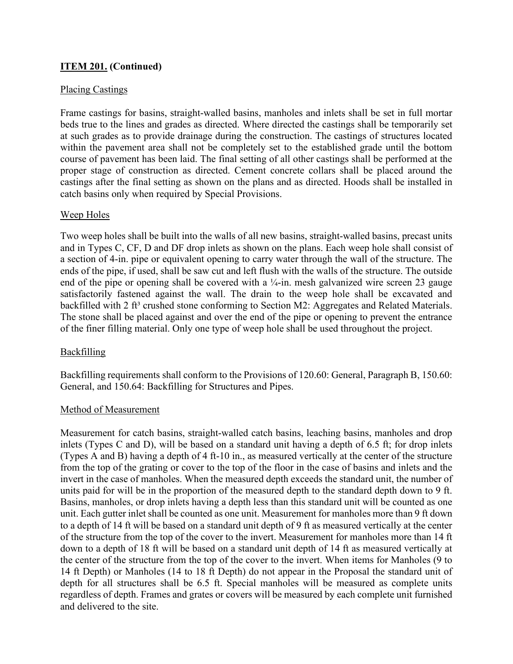## Placing Castings

Frame castings for basins, straight-walled basins, manholes and inlets shall be set in full mortar beds true to the lines and grades as directed. Where directed the castings shall be temporarily set at such grades as to provide drainage during the construction. The castings of structures located within the pavement area shall not be completely set to the established grade until the bottom course of pavement has been laid. The final setting of all other castings shall be performed at the proper stage of construction as directed. Cement concrete collars shall be placed around the castings after the final setting as shown on the plans and as directed. Hoods shall be installed in catch basins only when required by Special Provisions.

## Weep Holes

Two weep holes shall be built into the walls of all new basins, straight-walled basins, precast units and in Types C, CF, D and DF drop inlets as shown on the plans. Each weep hole shall consist of a section of 4-in. pipe or equivalent opening to carry water through the wall of the structure. The ends of the pipe, if used, shall be saw cut and left flush with the walls of the structure. The outside end of the pipe or opening shall be covered with a  $\frac{1}{4}$ -in. mesh galvanized wire screen 23 gauge satisfactorily fastened against the wall. The drain to the weep hole shall be excavated and backfilled with 2 ft<sup>3</sup> crushed stone conforming to Section M2: Aggregates and Related Materials. The stone shall be placed against and over the end of the pipe or opening to prevent the entrance of the finer filling material. Only one type of weep hole shall be used throughout the project.

# Backfilling

Backfilling requirements shall conform to the Provisions of 120.60: General, Paragraph B, 150.60: General, and 150.64: Backfilling for Structures and Pipes.

## Method of Measurement

Measurement for catch basins, straight-walled catch basins, leaching basins, manholes and drop inlets (Types C and D), will be based on a standard unit having a depth of 6.5 ft; for drop inlets (Types A and B) having a depth of 4 ft-10 in., as measured vertically at the center of the structure from the top of the grating or cover to the top of the floor in the case of basins and inlets and the invert in the case of manholes. When the measured depth exceeds the standard unit, the number of units paid for will be in the proportion of the measured depth to the standard depth down to 9 ft. Basins, manholes, or drop inlets having a depth less than this standard unit will be counted as one unit. Each gutter inlet shall be counted as one unit. Measurement for manholes more than 9 ft down to a depth of 14 ft will be based on a standard unit depth of 9 ft as measured vertically at the center of the structure from the top of the cover to the invert. Measurement for manholes more than 14 ft down to a depth of 18 ft will be based on a standard unit depth of 14 ft as measured vertically at the center of the structure from the top of the cover to the invert. When items for Manholes (9 to 14 ft Depth) or Manholes (14 to 18 ft Depth) do not appear in the Proposal the standard unit of depth for all structures shall be 6.5 ft. Special manholes will be measured as complete units regardless of depth. Frames and grates or covers will be measured by each complete unit furnished and delivered to the site.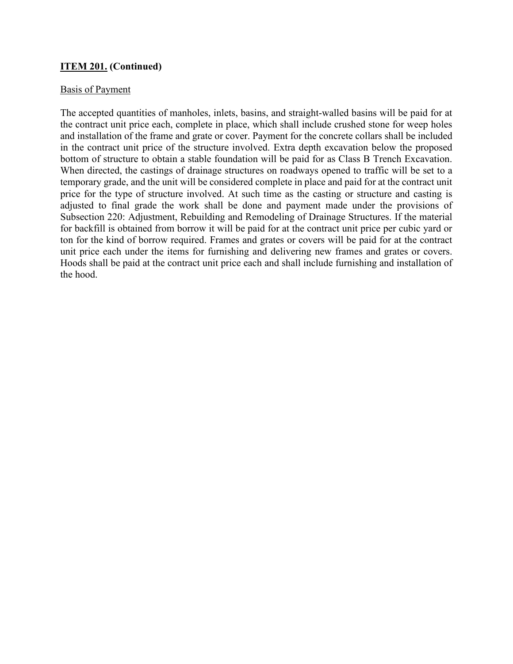## Basis of Payment

The accepted quantities of manholes, inlets, basins, and straight-walled basins will be paid for at the contract unit price each, complete in place, which shall include crushed stone for weep holes and installation of the frame and grate or cover. Payment for the concrete collars shall be included in the contract unit price of the structure involved. Extra depth excavation below the proposed bottom of structure to obtain a stable foundation will be paid for as Class B Trench Excavation. When directed, the castings of drainage structures on roadways opened to traffic will be set to a temporary grade, and the unit will be considered complete in place and paid for at the contract unit price for the type of structure involved. At such time as the casting or structure and casting is adjusted to final grade the work shall be done and payment made under the provisions of Subsection 220: Adjustment, Rebuilding and Remodeling of Drainage Structures. If the material for backfill is obtained from borrow it will be paid for at the contract unit price per cubic yard or ton for the kind of borrow required. Frames and grates or covers will be paid for at the contract unit price each under the items for furnishing and delivering new frames and grates or covers. Hoods shall be paid at the contract unit price each and shall include furnishing and installation of the hood.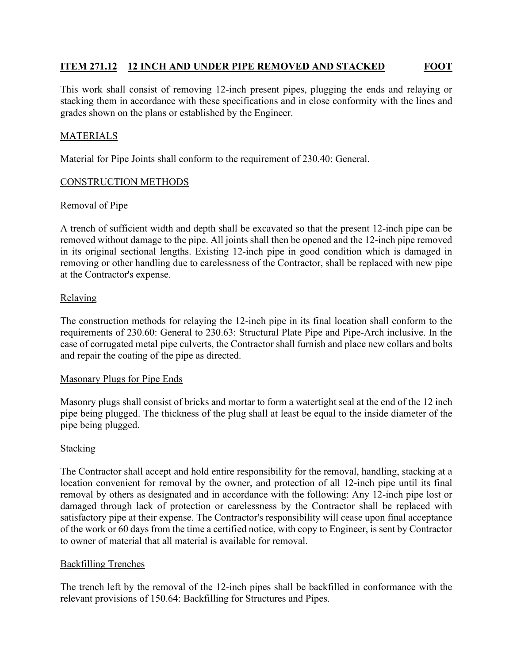# **ITEM 271.12 12 INCH AND UNDER PIPE REMOVED AND STACKED FOOT**

This work shall consist of removing 12-inch present pipes, plugging the ends and relaying or stacking them in accordance with these specifications and in close conformity with the lines and grades shown on the plans or established by the Engineer.

## MATERIALS

Material for Pipe Joints shall conform to the requirement of 230.40: General.

## CONSTRUCTION METHODS

## Removal of Pipe

A trench of sufficient width and depth shall be excavated so that the present 12-inch pipe can be removed without damage to the pipe. All joints shall then be opened and the 12-inch pipe removed in its original sectional lengths. Existing 12-inch pipe in good condition which is damaged in removing or other handling due to carelessness of the Contractor, shall be replaced with new pipe at the Contractor's expense.

## **Relaying**

The construction methods for relaying the 12-inch pipe in its final location shall conform to the requirements of 230.60: General to 230.63: Structural Plate Pipe and Pipe-Arch inclusive. In the case of corrugated metal pipe culverts, the Contractor shall furnish and place new collars and bolts and repair the coating of the pipe as directed.

## Masonary Plugs for Pipe Ends

Masonry plugs shall consist of bricks and mortar to form a watertight seal at the end of the 12 inch pipe being plugged. The thickness of the plug shall at least be equal to the inside diameter of the pipe being plugged.

## Stacking

The Contractor shall accept and hold entire responsibility for the removal, handling, stacking at a location convenient for removal by the owner, and protection of all 12-inch pipe until its final removal by others as designated and in accordance with the following: Any 12-inch pipe lost or damaged through lack of protection or carelessness by the Contractor shall be replaced with satisfactory pipe at their expense. The Contractor's responsibility will cease upon final acceptance of the work or 60 days from the time a certified notice, with copy to Engineer, is sent by Contractor to owner of material that all material is available for removal.

## Backfilling Trenches

The trench left by the removal of the 12-inch pipes shall be backfilled in conformance with the relevant provisions of 150.64: Backfilling for Structures and Pipes.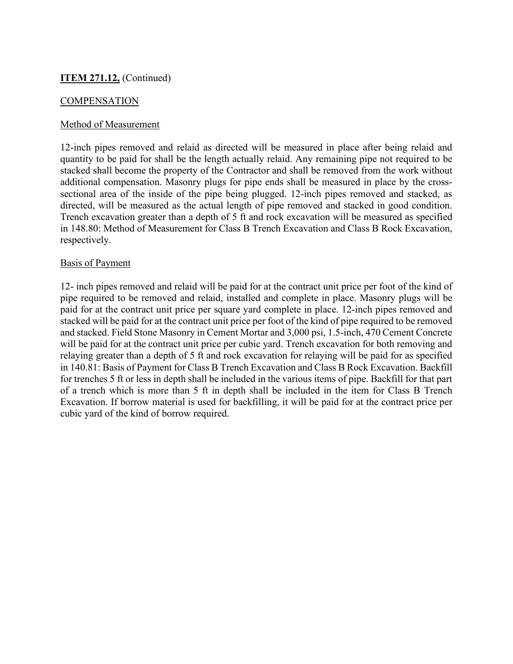## **COMPENSATION**

## Method of Measurement

12-inch pipes removed and relaid as directed will be measured in place after being relaid and quantity to be paid for shall be the length actually relaid. Any remaining pipe not required to be stacked shall become the property of the Contractor and shall be removed from the work without additional compensation. Masonry plugs for pipe ends shall be measured in place by the crosssectional area of the inside of the pipe being plugged. 12-inch pipes removed and stacked, as directed, will be measured as the actual length of pipe removed and stacked in good condition. Trench excavation greater than a depth of 5 ft and rock excavation will be measured as specified in 148.80: Method of Measurement for Class B Trench Excavation and Class B Rock Excavation, respectively.

## Basis of Payment

12- inch pipes removed and relaid will be paid for at the contract unit price per foot of the kind of pipe required to be removed and relaid, installed and complete in place. Masonry plugs will be paid for at the contract unit price per square yard complete in place. 12-inch pipes removed and stacked will be paid for at the contract unit price per foot of the kind of pipe required to be removed and stacked. Field Stone Masonry in Cement Mortar and 3,000 psi, 1.5-inch, 470 Cement Concrete will be paid for at the contract unit price per cubic yard. Trench excavation for both removing and relaying greater than a depth of 5 ft and rock excavation for relaying will be paid for as specified in 140.81: Basis of Payment for Class B Trench Excavation and Class B Rock Excavation. Backfill for trenches 5 ft or less in depth shall be included in the various items of pipe. Backfill for that part of a trench which is more than 5 ft in depth shall be included in the item for Class B Trench Excavation. If borrow material is used for backfilling, it will be paid for at the contract price per cubic yard of the kind of borrow required.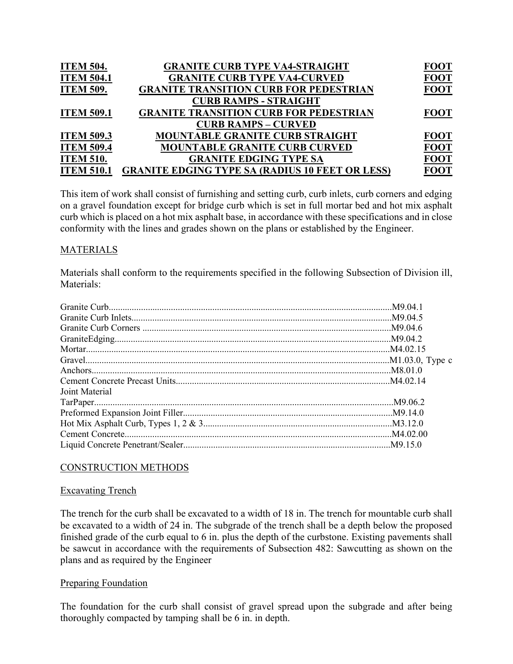| <b>GRANITE CURB TYPE VA4-CURVED</b><br><b>ITEM 504.1</b><br><b>GRANITE TRANSITION CURB FOR PEDESTRIAN</b><br><b>ITEM 509.</b><br><b>CURB RAMPS - STRAIGHT</b><br><b>GRANITE TRANSITION CURB FOR PEDESTRIAN</b><br><b>ITEM 509.1</b><br><b>CURB RAMPS - CURVED</b> | <b>ITEM 504.</b>  | <b>GRANITE CURB TYPE VA4-STRAIGHT</b>  | <b>FOOT</b> |
|-------------------------------------------------------------------------------------------------------------------------------------------------------------------------------------------------------------------------------------------------------------------|-------------------|----------------------------------------|-------------|
|                                                                                                                                                                                                                                                                   |                   |                                        | <b>FOOT</b> |
|                                                                                                                                                                                                                                                                   |                   |                                        | <b>FOOT</b> |
|                                                                                                                                                                                                                                                                   |                   |                                        |             |
|                                                                                                                                                                                                                                                                   |                   |                                        | <b>FOOT</b> |
|                                                                                                                                                                                                                                                                   |                   |                                        |             |
|                                                                                                                                                                                                                                                                   | <b>ITEM 509.3</b> | <b>MOUNTABLE GRANITE CURB STRAIGHT</b> | <b>FOOT</b> |
| <b>ITEM 509.4</b><br><b>MOUNTABLE GRANITE CURB CURVED</b>                                                                                                                                                                                                         |                   |                                        | <b>FOOT</b> |
| <b>GRANITE EDGING TYPE SA</b><br><b>ITEM 510.</b>                                                                                                                                                                                                                 |                   |                                        | <b>FOOT</b> |
| <b>GRANITE EDGING TYPE SA (RADIUS 10 FEET OR LESS)</b><br><b>ITEM 510.1</b>                                                                                                                                                                                       |                   |                                        | <b>FOOT</b> |

This item of work shall consist of furnishing and setting curb, curb inlets, curb corners and edging on a gravel foundation except for bridge curb which is set in full mortar bed and hot mix asphalt curb which is placed on a hot mix asphalt base, in accordance with these specifications and in close conformity with the lines and grades shown on the plans or established by the Engineer.

# MATERIALS

Materials shall conform to the requirements specified in the following Subsection of Division ill, Materials:

| Joint Material |  |
|----------------|--|
|                |  |
|                |  |
|                |  |
|                |  |
|                |  |

## CONSTRUCTION METHODS

#### Excavating Trench

The trench for the curb shall be excavated to a width of 18 in. The trench for mountable curb shall be excavated to a width of 24 in. The subgrade of the trench shall be a depth below the proposed finished grade of the curb equal to 6 in. plus the depth of the curbstone. Existing pavements shall be sawcut in accordance with the requirements of Subsection 482: Sawcutting as shown on the plans and as required by the Engineer

## Preparing Foundation

The foundation for the curb shall consist of gravel spread upon the subgrade and after being thoroughly compacted by tamping shall be 6 in. in depth.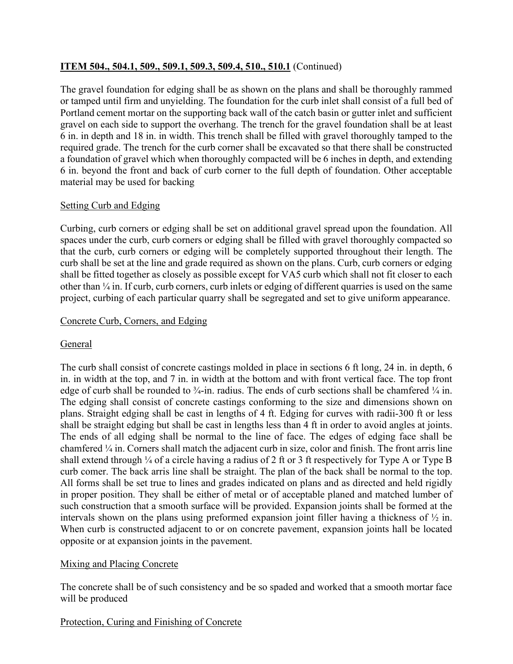The gravel foundation for edging shall be as shown on the plans and shall be thoroughly rammed or tamped until firm and unyielding. The foundation for the curb inlet shall consist of a full bed of Portland cement mortar on the supporting back wall of the catch basin or gutter inlet and sufficient gravel on each side to support the overhang. The trench for the gravel foundation shall be at least 6 in. in depth and 18 in. in width. This trench shall be filled with gravel thoroughly tamped to the required grade. The trench for the curb corner shall be excavated so that there shall be constructed a foundation of gravel which when thoroughly compacted will be 6 inches in depth, and extending 6 in. beyond the front and back of curb corner to the full depth of foundation. Other acceptable material may be used for backing

# Setting Curb and Edging

Curbing, curb corners or edging shall be set on additional gravel spread upon the foundation. All spaces under the curb, curb corners or edging shall be filled with gravel thoroughly compacted so that the curb, curb corners or edging will be completely supported throughout their length. The curb shall be set at the line and grade required as shown on the plans. Curb, curb corners or edging shall be fitted together as closely as possible except for VA5 curb which shall not fit closer to each other than ¼ in. If curb, curb corners, curb inlets or edging of different quarries is used on the same project, curbing of each particular quarry shall be segregated and set to give uniform appearance.

# Concrete Curb, Corners, and Edging

# General

The curb shall consist of concrete castings molded in place in sections 6 ft long, 24 in. in depth, 6 in. in width at the top, and 7 in. in width at the bottom and with front vertical face. The top front edge of curb shall be rounded to  $\frac{3}{4}$ -in. radius. The ends of curb sections shall be chamfered  $\frac{1}{4}$  in. The edging shall consist of concrete castings conforming to the size and dimensions shown on plans. Straight edging shall be cast in lengths of 4 ft. Edging for curves with radii-300 ft or less shall be straight edging but shall be cast in lengths less than 4 ft in order to avoid angles at joints. The ends of all edging shall be normal to the line of face. The edges of edging face shall be chamfered ¼ in. Corners shall match the adjacent curb in size, color and finish. The front arris line shall extend through  $\frac{1}{4}$  of a circle having a radius of 2 ft or 3 ft respectively for Type A or Type B curb comer. The back arris line shall be straight. The plan of the back shall be normal to the top. All forms shall be set true to lines and grades indicated on plans and as directed and held rigidly in proper position. They shall be either of metal or of acceptable planed and matched lumber of such construction that a smooth surface will be provided. Expansion joints shall be formed at the intervals shown on the plans using preformed expansion joint filler having a thickness of  $\frac{1}{2}$  in. When curb is constructed adjacent to or on concrete pavement, expansion joints hall be located opposite or at expansion joints in the pavement.

# Mixing and Placing Concrete

The concrete shall be of such consistency and be so spaded and worked that a smooth mortar face will be produced

# Protection, Curing and Finishing of Concrete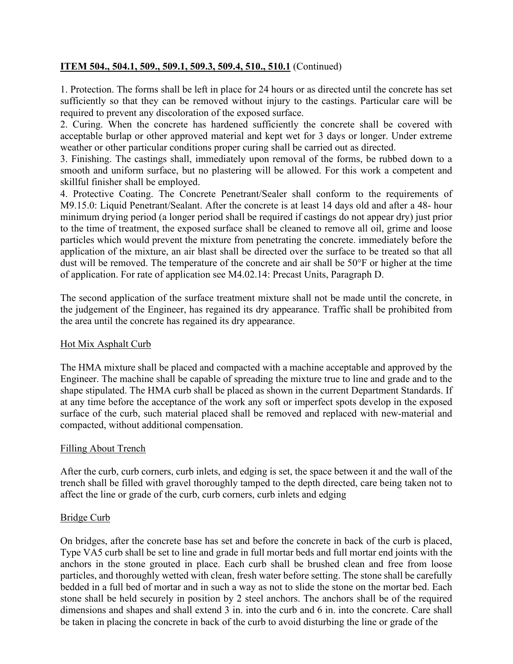1. Protection. The forms shall be left in place for 24 hours or as directed until the concrete has set sufficiently so that they can be removed without injury to the castings. Particular care will be required to prevent any discoloration of the exposed surface.

2. Curing. When the concrete has hardened sufficiently the concrete shall be covered with acceptable burlap or other approved material and kept wet for 3 days or longer. Under extreme weather or other particular conditions proper curing shall be carried out as directed.

3. Finishing. The castings shall, immediately upon removal of the forms, be rubbed down to a smooth and uniform surface, but no plastering will be allowed. For this work a competent and skillful finisher shall be employed.

4. Protective Coating. The Concrete Penetrant/Sealer shall conform to the requirements of M9.15.0: Liquid Penetrant/Sealant. After the concrete is at least 14 days old and after a 48- hour minimum drying period (a longer period shall be required if castings do not appear dry) just prior to the time of treatment, the exposed surface shall be cleaned to remove all oil, grime and loose particles which would prevent the mixture from penetrating the concrete. immediately before the application of the mixture, an air blast shall be directed over the surface to be treated so that all dust will be removed. The temperature of the concrete and air shall be 50°F or higher at the time of application. For rate of application see M4.02.14: Precast Units, Paragraph D.

The second application of the surface treatment mixture shall not be made until the concrete, in the judgement of the Engineer, has regained its dry appearance. Traffic shall be prohibited from the area until the concrete has regained its dry appearance.

# Hot Mix Asphalt Curb

The HMA mixture shall be placed and compacted with a machine acceptable and approved by the Engineer. The machine shall be capable of spreading the mixture true to line and grade and to the shape stipulated. The HMA curb shall be placed as shown in the current Department Standards. If at any time before the acceptance of the work any soft or imperfect spots develop in the exposed surface of the curb, such material placed shall be removed and replaced with new-material and compacted, without additional compensation.

## Filling About Trench

After the curb, curb corners, curb inlets, and edging is set, the space between it and the wall of the trench shall be filled with gravel thoroughly tamped to the depth directed, care being taken not to affect the line or grade of the curb, curb corners, curb inlets and edging

## Bridge Curb

On bridges, after the concrete base has set and before the concrete in back of the curb is placed, Type VA5 curb shall be set to line and grade in full mortar beds and full mortar end joints with the anchors in the stone grouted in place. Each curb shall be brushed clean and free from loose particles, and thoroughly wetted with clean, fresh water before setting. The stone shall be carefully bedded in a full bed of mortar and in such a way as not to slide the stone on the mortar bed. Each stone shall be held securely in position by 2 steel anchors. The anchors shall be of the required dimensions and shapes and shall extend 3 in. into the curb and 6 in. into the concrete. Care shall be taken in placing the concrete in back of the curb to avoid disturbing the line or grade of the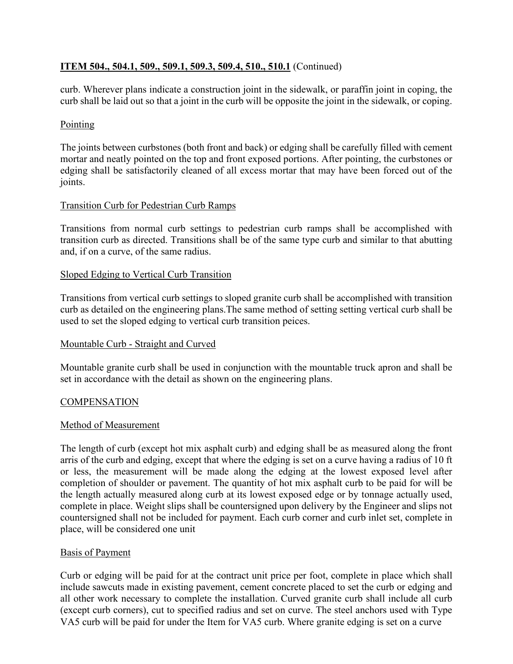curb. Wherever plans indicate a construction joint in the sidewalk, or paraffin joint in coping, the curb shall be laid out so that a joint in the curb will be opposite the joint in the sidewalk, or coping.

## **Pointing**

The joints between curbstones (both front and back) or edging shall be carefully filled with cement mortar and neatly pointed on the top and front exposed portions. After pointing, the curbstones or edging shall be satisfactorily cleaned of all excess mortar that may have been forced out of the joints.

## Transition Curb for Pedestrian Curb Ramps

Transitions from normal curb settings to pedestrian curb ramps shall be accomplished with transition curb as directed. Transitions shall be of the same type curb and similar to that abutting and, if on a curve, of the same radius.

## Sloped Edging to Vertical Curb Transition

Transitions from vertical curb settings to sloped granite curb shall be accomplished with transition curb as detailed on the engineering plans.The same method of setting setting vertical curb shall be used to set the sloped edging to vertical curb transition peices.

## Mountable Curb - Straight and Curved

Mountable granite curb shall be used in conjunction with the mountable truck apron and shall be set in accordance with the detail as shown on the engineering plans.

## **COMPENSATION**

## Method of Measurement

The length of curb (except hot mix asphalt curb) and edging shall be as measured along the front arris of the curb and edging, except that where the edging is set on a curve having a radius of 10 ft or less, the measurement will be made along the edging at the lowest exposed level after completion of shoulder or pavement. The quantity of hot mix asphalt curb to be paid for will be the length actually measured along curb at its lowest exposed edge or by tonnage actually used, complete in place. Weight slips shall be countersigned upon delivery by the Engineer and slips not countersigned shall not be included for payment. Each curb corner and curb inlet set, complete in place, will be considered one unit

## Basis of Payment

Curb or edging will be paid for at the contract unit price per foot, complete in place which shall include sawcuts made in existing pavement, cement concrete placed to set the curb or edging and all other work necessary to complete the installation. Curved granite curb shall include all curb (except curb corners), cut to specified radius and set on curve. The steel anchors used with Type VA5 curb will be paid for under the Item for VA5 curb. Where granite edging is set on a curve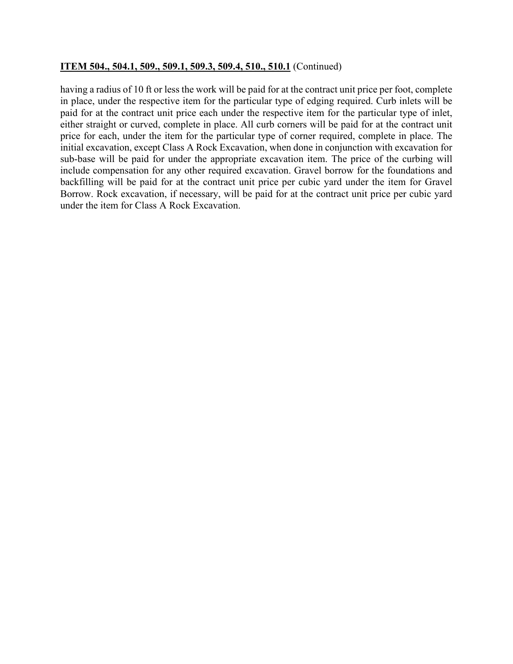having a radius of 10 ft or less the work will be paid for at the contract unit price per foot, complete in place, under the respective item for the particular type of edging required. Curb inlets will be paid for at the contract unit price each under the respective item for the particular type of inlet, either straight or curved, complete in place. All curb corners will be paid for at the contract unit price for each, under the item for the particular type of corner required, complete in place. The initial excavation, except Class A Rock Excavation, when done in conjunction with excavation for sub-base will be paid for under the appropriate excavation item. The price of the curbing will include compensation for any other required excavation. Gravel borrow for the foundations and backfilling will be paid for at the contract unit price per cubic yard under the item for Gravel Borrow. Rock excavation, if necessary, will be paid for at the contract unit price per cubic yard under the item for Class A Rock Excavation.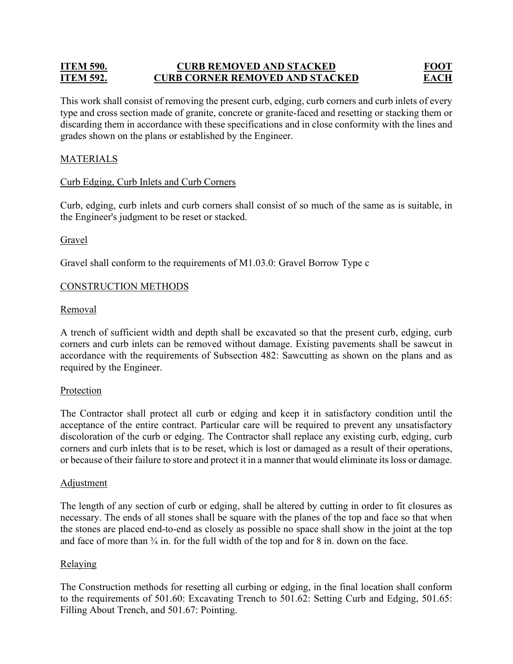# **ITEM 590. CURB REMOVED AND STACKED FOOT ITEM 592. CURB CORNER REMOVED AND STACKED EACH**

This work shall consist of removing the present curb, edging, curb corners and curb inlets of every type and cross section made of granite, concrete or granite-faced and resetting or stacking them or discarding them in accordance with these specifications and in close conformity with the lines and grades shown on the plans or established by the Engineer.

# MATERIALS

## Curb Edging, Curb Inlets and Curb Corners

Curb, edging, curb inlets and curb corners shall consist of so much of the same as is suitable, in the Engineer's judgment to be reset or stacked.

## Gravel

Gravel shall conform to the requirements of M1.03.0: Gravel Borrow Type c

## CONSTRUCTION METHODS

## Removal

A trench of sufficient width and depth shall be excavated so that the present curb, edging, curb corners and curb inlets can be removed without damage. Existing pavements shall be sawcut in accordance with the requirements of Subsection 482: Sawcutting as shown on the plans and as required by the Engineer.

## **Protection**

The Contractor shall protect all curb or edging and keep it in satisfactory condition until the acceptance of the entire contract. Particular care will be required to prevent any unsatisfactory discoloration of the curb or edging. The Contractor shall replace any existing curb, edging, curb corners and curb inlets that is to be reset, which is lost or damaged as a result of their operations, or because of their failure to store and protect it in a manner that would eliminate its loss or damage.

## Adjustment

The length of any section of curb or edging, shall be altered by cutting in order to fit closures as necessary. The ends of all stones shall be square with the planes of the top and face so that when the stones are placed end-to-end as closely as possible no space shall show in the joint at the top and face of more than  $\frac{3}{4}$  in. for the full width of the top and for 8 in. down on the face.

## **Relaying**

The Construction methods for resetting all curbing or edging, in the final location shall conform to the requirements of 501.60: Excavating Trench to 501.62: Setting Curb and Edging, 501.65: Filling About Trench, and 501.67: Pointing.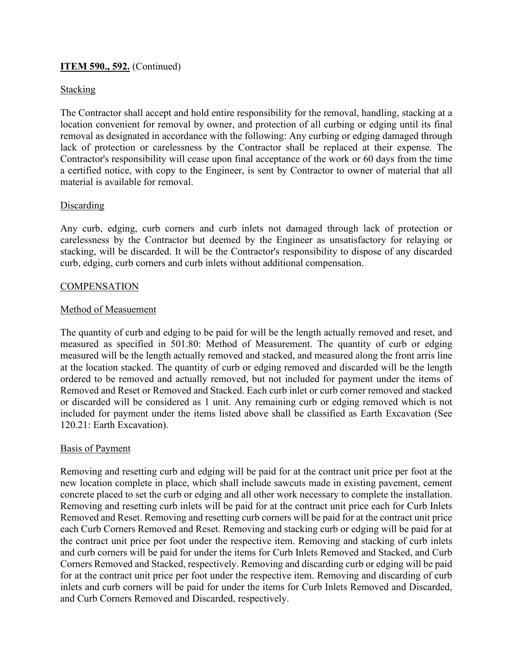## **ITEM 590., 592.** (Continued)

## Stacking

The Contractor shall accept and hold entire responsibility for the removal, handling, stacking at a location convenient for removal by owner, and protection of all curbing or edging until its final removal as designated in accordance with the following: Any curbing or edging damaged through lack of protection or carelessness by the Contractor shall be replaced at their expense. The Contractor's responsibility will cease upon final acceptance of the work or 60 days from the time a certified notice, with copy to the Engineer, is sent by Contractor to owner of material that all material is available for removal.

## Discarding

Any curb, edging, curb corners and curb inlets not damaged through lack of protection or carelessness by the Contractor but deemed by the Engineer as unsatisfactory for relaying or stacking, will be discarded. It will be the Contractor's responsibility to dispose of any discarded curb, edging, curb corners and curb inlets without additional compensation.

## **COMPENSATION**

#### Method of Measuement

The quantity of curb and edging to be paid for will be the length actually removed and reset, and measured as specified in 501.80: Method of Measurement. The quantity of curb or edging measured will be the length actually removed and stacked, and measured along the front arris line at the location stacked. The quantity of curb or edging removed and discarded will be the length ordered to be removed and actually removed, but not included for payment under the items of Removed and Reset or Removed and Stacked. Each curb inlet or curb corner removed and stacked or discarded will be considered as 1 unit. Any remaining curb or edging removed which is not included for payment under the items listed above shall be classified as Earth Excavation (See 120.21: Earth Excavation).

## Basis of Payment

Removing and resetting curb and edging will be paid for at the contract unit price per foot at the new location complete in place, which shall include sawcuts made in existing pavement, cement concrete placed to set the curb or edging and all other work necessary to complete the installation. Removing and resetting curb inlets will be paid for at the contract unit price each for Curb Inlets Removed and Reset. Removing and resetting curb corners will be paid for at the contract unit price each Curb Corners Removed and Reset. Removing and stacking curb or edging will be paid for at the contract unit price per foot under the respective item. Removing and stacking of curb inlets and curb corners will be paid for under the items for Curb Inlets Removed and Stacked, and Curb Corners Removed and Stacked, respectively. Removing and discarding curb or edging will be paid for at the contract unit price per foot under the respective item. Removing and discarding of curb inlets and curb corners will be paid for under the items for Curb Inlets Removed and Discarded, and Curb Corners Removed and Discarded, respectively.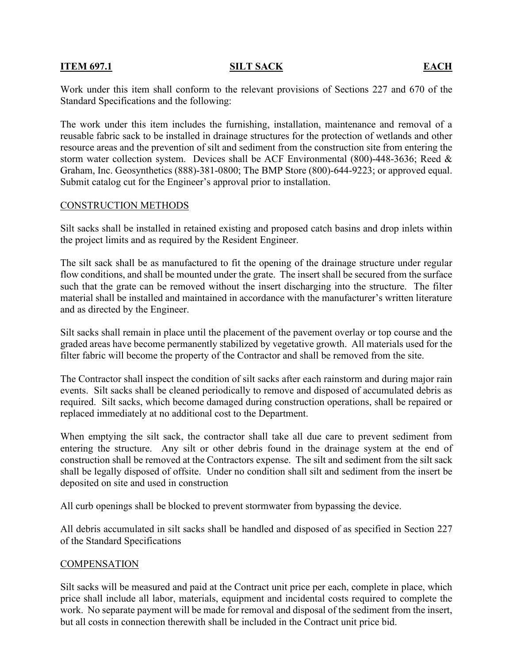## **ITEM 697.1 SILT SACK EACH**

Work under this item shall conform to the relevant provisions of Sections 227 and 670 of the Standard Specifications and the following:

The work under this item includes the furnishing, installation, maintenance and removal of a reusable fabric sack to be installed in drainage structures for the protection of wetlands and other resource areas and the prevention of silt and sediment from the construction site from entering the storm water collection system. Devices shall be ACF Environmental (800)-448-3636; Reed & Graham, Inc. Geosynthetics (888)-381-0800; The BMP Store (800)-644-9223; or approved equal. Submit catalog cut for the Engineer's approval prior to installation.

#### CONSTRUCTION METHODS

Silt sacks shall be installed in retained existing and proposed catch basins and drop inlets within the project limits and as required by the Resident Engineer.

The silt sack shall be as manufactured to fit the opening of the drainage structure under regular flow conditions, and shall be mounted under the grate. The insert shall be secured from the surface such that the grate can be removed without the insert discharging into the structure. The filter material shall be installed and maintained in accordance with the manufacturer's written literature and as directed by the Engineer.

Silt sacks shall remain in place until the placement of the pavement overlay or top course and the graded areas have become permanently stabilized by vegetative growth. All materials used for the filter fabric will become the property of the Contractor and shall be removed from the site.

The Contractor shall inspect the condition of silt sacks after each rainstorm and during major rain events. Silt sacks shall be cleaned periodically to remove and disposed of accumulated debris as required. Silt sacks, which become damaged during construction operations, shall be repaired or replaced immediately at no additional cost to the Department.

When emptying the silt sack, the contractor shall take all due care to prevent sediment from entering the structure. Any silt or other debris found in the drainage system at the end of construction shall be removed at the Contractors expense. The silt and sediment from the silt sack shall be legally disposed of offsite. Under no condition shall silt and sediment from the insert be deposited on site and used in construction

All curb openings shall be blocked to prevent stormwater from bypassing the device.

All debris accumulated in silt sacks shall be handled and disposed of as specified in Section 227 of the Standard Specifications

#### **COMPENSATION**

Silt sacks will be measured and paid at the Contract unit price per each, complete in place, which price shall include all labor, materials, equipment and incidental costs required to complete the work. No separate payment will be made for removal and disposal of the sediment from the insert, but all costs in connection therewith shall be included in the Contract unit price bid.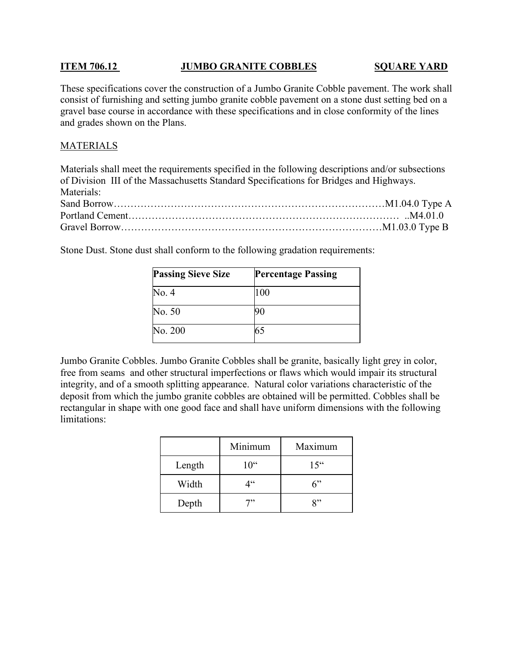## **ITEM 706.12 JUMBO GRANITE COBBLES SQUARE YARD**

These specifications cover the construction of a Jumbo Granite Cobble pavement. The work shall consist of furnishing and setting jumbo granite cobble pavement on a stone dust setting bed on a gravel base course in accordance with these specifications and in close conformity of the lines and grades shown on the Plans.

## **MATERIALS**

Materials shall meet the requirements specified in the following descriptions and/or subsections of Division III of the Massachusetts Standard Specifications for Bridges and Highways. Materials: Sand Borrow………………………………………………………………………M1.04.0 Type A Portland Cement……………………………………………………………………… ..M4.01.0 Gravel Borrow……………………………………………………………………M1.03.0 Type B

Stone Dust. Stone dust shall conform to the following gradation requirements:

| <b>Passing Sieve Size</b> | <b>Percentage Passing</b> |
|---------------------------|---------------------------|
| No. 4                     | 100                       |
| No. 50                    |                           |
| No. 200                   |                           |

Jumbo Granite Cobbles. Jumbo Granite Cobbles shall be granite, basically light grey in color, free from seams and other structural imperfections or flaws which would impair its structural integrity, and of a smooth splitting appearance. Natural color variations characteristic of the deposit from which the jumbo granite cobbles are obtained will be permitted. Cobbles shall be rectangular in shape with one good face and shall have uniform dimensions with the following limitations:

|        | Minimum  | Maximum  |
|--------|----------|----------|
| Length | $10^{0}$ | $15^{0}$ |
| Width  | 4''      | ና"       |
| Depth  | 7"       | 8"       |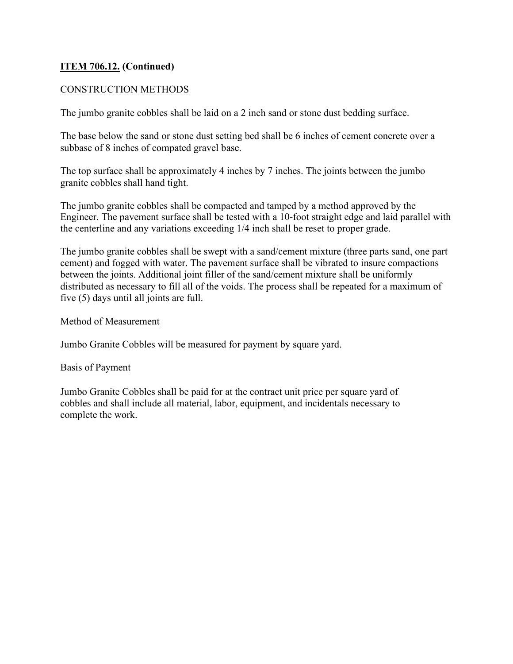# **ITEM 706.12. (Continued)**

## CONSTRUCTION METHODS

The jumbo granite cobbles shall be laid on a 2 inch sand or stone dust bedding surface.

The base below the sand or stone dust setting bed shall be 6 inches of cement concrete over a subbase of 8 inches of compated gravel base.

The top surface shall be approximately 4 inches by 7 inches. The joints between the jumbo granite cobbles shall hand tight.

The jumbo granite cobbles shall be compacted and tamped by a method approved by the Engineer. The pavement surface shall be tested with a 10-foot straight edge and laid parallel with the centerline and any variations exceeding 1/4 inch shall be reset to proper grade.

The jumbo granite cobbles shall be swept with a sand/cement mixture (three parts sand, one part cement) and fogged with water. The pavement surface shall be vibrated to insure compactions between the joints. Additional joint filler of the sand/cement mixture shall be uniformly distributed as necessary to fill all of the voids. The process shall be repeated for a maximum of five (5) days until all joints are full.

## Method of Measurement

Jumbo Granite Cobbles will be measured for payment by square yard.

## Basis of Payment

Jumbo Granite Cobbles shall be paid for at the contract unit price per square yard of cobbles and shall include all material, labor, equipment, and incidentals necessary to complete the work.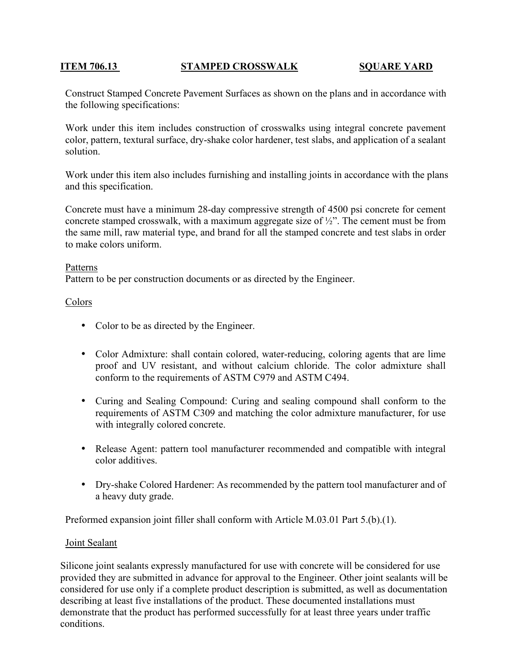## **ITEM 706.13 STAMPED CROSSWALK SQUARE YARD**

Construct Stamped Concrete Pavement Surfaces as shown on the plans and in accordance with the following specifications:

Work under this item includes construction of crosswalks using integral concrete pavement color, pattern, textural surface, dry-shake color hardener, test slabs, and application of a sealant solution.

Work under this item also includes furnishing and installing joints in accordance with the plans and this specification.

Concrete must have a minimum 28-day compressive strength of 4500 psi concrete for cement concrete stamped crosswalk, with a maximum aggregate size of  $\frac{1}{2}$ ". The cement must be from the same mill, raw material type, and brand for all the stamped concrete and test slabs in order to make colors uniform.

#### Patterns

Pattern to be per construction documents or as directed by the Engineer.

## Colors

- Color to be as directed by the Engineer.
- Color Admixture: shall contain colored, water-reducing, coloring agents that are lime proof and UV resistant, and without calcium chloride. The color admixture shall conform to the requirements of ASTM C979 and ASTM C494.
- Curing and Sealing Compound: Curing and sealing compound shall conform to the requirements of ASTM C309 and matching the color admixture manufacturer, for use with integrally colored concrete.
- Release Agent: pattern tool manufacturer recommended and compatible with integral color additives.
- Dry-shake Colored Hardener: As recommended by the pattern tool manufacturer and of a heavy duty grade.

Preformed expansion joint filler shall conform with Article M.03.01 Part 5.(b).(1).

## Joint Sealant

Silicone joint sealants expressly manufactured for use with concrete will be considered for use provided they are submitted in advance for approval to the Engineer. Other joint sealants will be considered for use only if a complete product description is submitted, as well as documentation describing at least five installations of the product. These documented installations must demonstrate that the product has performed successfully for at least three years under traffic conditions.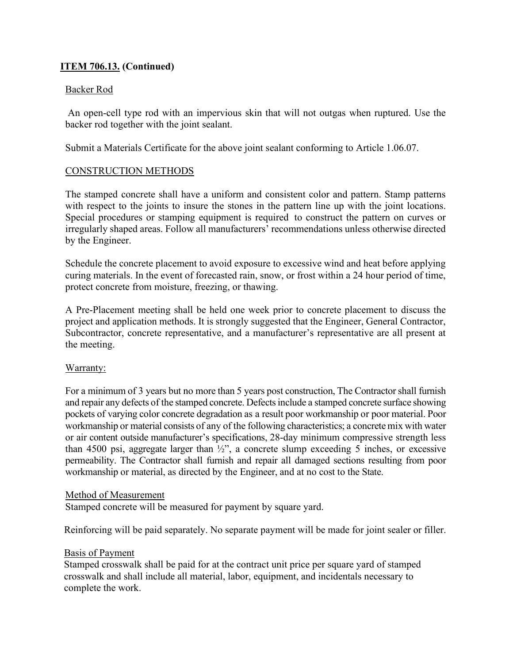# **ITEM 706.13. (Continued)**

## Backer Rod

 An open-cell type rod with an impervious skin that will not outgas when ruptured. Use the backer rod together with the joint sealant.

Submit a Materials Certificate for the above joint sealant conforming to Article 1.06.07.

## CONSTRUCTION METHODS

The stamped concrete shall have a uniform and consistent color and pattern. Stamp patterns with respect to the joints to insure the stones in the pattern line up with the joint locations. Special procedures or stamping equipment is required to construct the pattern on curves or irregularly shaped areas. Follow all manufacturers' recommendations unless otherwise directed by the Engineer.

Schedule the concrete placement to avoid exposure to excessive wind and heat before applying curing materials. In the event of forecasted rain, snow, or frost within a 24 hour period of time, protect concrete from moisture, freezing, or thawing.

A Pre-Placement meeting shall be held one week prior to concrete placement to discuss the project and application methods. It is strongly suggested that the Engineer, General Contractor, Subcontractor, concrete representative, and a manufacturer's representative are all present at the meeting.

## Warranty:

For a minimum of 3 years but no more than 5 years post construction, The Contractor shall furnish and repair any defects of the stamped concrete. Defects include a stamped concrete surface showing pockets of varying color concrete degradation as a result poor workmanship or poor material. Poor workmanship or material consists of any of the following characteristics; a concrete mix with water or air content outside manufacturer's specifications, 28-day minimum compressive strength less than 4500 psi, aggregate larger than ½", a concrete slump exceeding 5 inches, or excessive permeability. The Contractor shall furnish and repair all damaged sections resulting from poor workmanship or material, as directed by the Engineer, and at no cost to the State.

## Method of Measurement

Stamped concrete will be measured for payment by square yard.

Reinforcing will be paid separately. No separate payment will be made for joint sealer or filler.

## Basis of Payment

Stamped crosswalk shall be paid for at the contract unit price per square yard of stamped crosswalk and shall include all material, labor, equipment, and incidentals necessary to complete the work.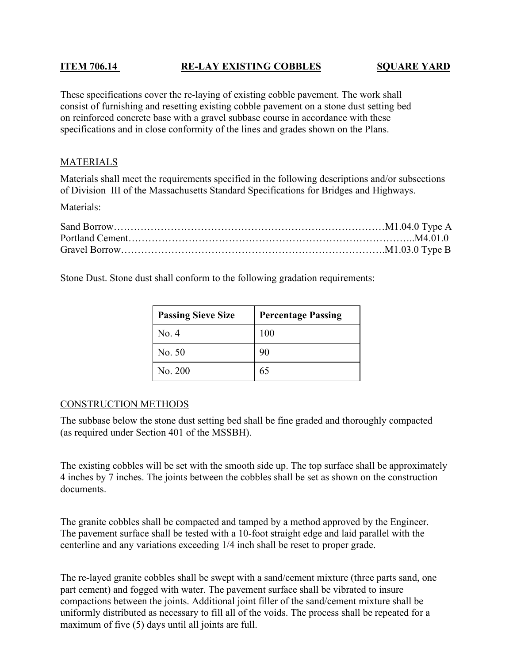# **ITEM 706.14 RE-LAY EXISTING COBBLES SQUARE YARD**

These specifications cover the re-laying of existing cobble pavement. The work shall consist of furnishing and resetting existing cobble pavement on a stone dust setting bed on reinforced concrete base with a gravel subbase course in accordance with these specifications and in close conformity of the lines and grades shown on the Plans.

# MATERIALS

Materials shall meet the requirements specified in the following descriptions and/or subsections of Division III of the Massachusetts Standard Specifications for Bridges and Highways.

Materials:

Stone Dust. Stone dust shall conform to the following gradation requirements:

| <b>Passing Sieve Size</b> | <b>Percentage Passing</b> |
|---------------------------|---------------------------|
| No. 4                     | 100                       |
| No. 50                    | 90                        |
| No. 200                   | 65                        |

## CONSTRUCTION METHODS

The subbase below the stone dust setting bed shall be fine graded and thoroughly compacted (as required under Section 401 of the MSSBH).

The existing cobbles will be set with the smooth side up. The top surface shall be approximately 4 inches by 7 inches. The joints between the cobbles shall be set as shown on the construction documents.

The granite cobbles shall be compacted and tamped by a method approved by the Engineer. The pavement surface shall be tested with a 10-foot straight edge and laid parallel with the centerline and any variations exceeding 1/4 inch shall be reset to proper grade.

The re-layed granite cobbles shall be swept with a sand/cement mixture (three parts sand, one part cement) and fogged with water. The pavement surface shall be vibrated to insure compactions between the joints. Additional joint filler of the sand/cement mixture shall be uniformly distributed as necessary to fill all of the voids. The process shall be repeated for a maximum of five (5) days until all joints are full.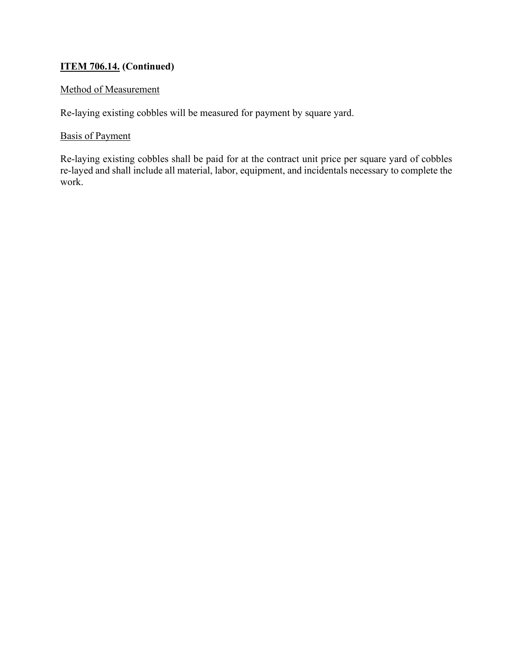# **ITEM 706.14. (Continued)**

# Method of Measurement

Re-laying existing cobbles will be measured for payment by square yard.

## Basis of Payment

Re-laying existing cobbles shall be paid for at the contract unit price per square yard of cobbles re-layed and shall include all material, labor, equipment, and incidentals necessary to complete the work.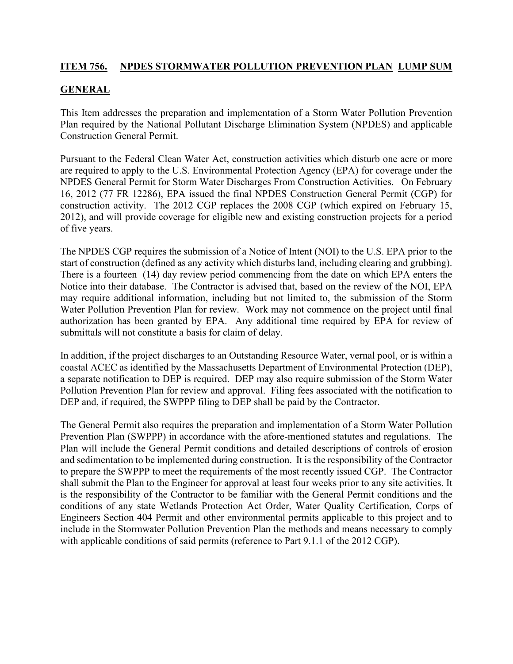# **ITEM 756. NPDES STORMWATER POLLUTION PREVENTION PLAN LUMP SUM**

# **GENERAL**

This Item addresses the preparation and implementation of a Storm Water Pollution Prevention Plan required by the National Pollutant Discharge Elimination System (NPDES) and applicable Construction General Permit.

Pursuant to the Federal Clean Water Act, construction activities which disturb one acre or more are required to apply to the U.S. Environmental Protection Agency (EPA) for coverage under the NPDES General Permit for Storm Water Discharges From Construction Activities. On February 16, 2012 (77 FR 12286), EPA issued the final NPDES Construction General Permit (CGP) for construction activity. The 2012 CGP replaces the 2008 CGP (which expired on February 15, 2012), and will provide coverage for eligible new and existing construction projects for a period of five years.

The NPDES CGP requires the submission of a Notice of Intent (NOI) to the U.S. EPA prior to the start of construction (defined as any activity which disturbs land, including clearing and grubbing). There is a fourteen (14) day review period commencing from the date on which EPA enters the Notice into their database. The Contractor is advised that, based on the review of the NOI, EPA may require additional information, including but not limited to, the submission of the Storm Water Pollution Prevention Plan for review. Work may not commence on the project until final authorization has been granted by EPA. Any additional time required by EPA for review of submittals will not constitute a basis for claim of delay.

In addition, if the project discharges to an Outstanding Resource Water, vernal pool, or is within a coastal ACEC as identified by the Massachusetts Department of Environmental Protection (DEP), a separate notification to DEP is required. DEP may also require submission of the Storm Water Pollution Prevention Plan for review and approval. Filing fees associated with the notification to DEP and, if required, the SWPPP filing to DEP shall be paid by the Contractor.

The General Permit also requires the preparation and implementation of a Storm Water Pollution Prevention Plan (SWPPP) in accordance with the afore-mentioned statutes and regulations. The Plan will include the General Permit conditions and detailed descriptions of controls of erosion and sedimentation to be implemented during construction. It is the responsibility of the Contractor to prepare the SWPPP to meet the requirements of the most recently issued CGP. The Contractor shall submit the Plan to the Engineer for approval at least four weeks prior to any site activities. It is the responsibility of the Contractor to be familiar with the General Permit conditions and the conditions of any state Wetlands Protection Act Order, Water Quality Certification, Corps of Engineers Section 404 Permit and other environmental permits applicable to this project and to include in the Stormwater Pollution Prevention Plan the methods and means necessary to comply with applicable conditions of said permits (reference to Part 9.1.1 of the 2012 CGP).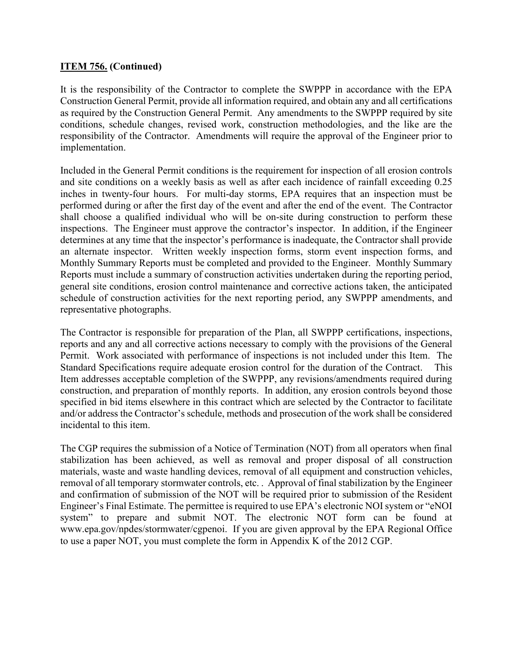## **ITEM 756. (Continued)**

It is the responsibility of the Contractor to complete the SWPPP in accordance with the EPA Construction General Permit, provide all information required, and obtain any and all certifications as required by the Construction General Permit. Any amendments to the SWPPP required by site conditions, schedule changes, revised work, construction methodologies, and the like are the responsibility of the Contractor. Amendments will require the approval of the Engineer prior to implementation.

Included in the General Permit conditions is the requirement for inspection of all erosion controls and site conditions on a weekly basis as well as after each incidence of rainfall exceeding 0.25 inches in twenty-four hours. For multi-day storms, EPA requires that an inspection must be performed during or after the first day of the event and after the end of the event. The Contractor shall choose a qualified individual who will be on-site during construction to perform these inspections. The Engineer must approve the contractor's inspector. In addition, if the Engineer determines at any time that the inspector's performance is inadequate, the Contractor shall provide an alternate inspector. Written weekly inspection forms, storm event inspection forms, and Monthly Summary Reports must be completed and provided to the Engineer. Monthly Summary Reports must include a summary of construction activities undertaken during the reporting period, general site conditions, erosion control maintenance and corrective actions taken, the anticipated schedule of construction activities for the next reporting period, any SWPPP amendments, and representative photographs.

The Contractor is responsible for preparation of the Plan, all SWPPP certifications, inspections, reports and any and all corrective actions necessary to comply with the provisions of the General Permit. Work associated with performance of inspections is not included under this Item. The Standard Specifications require adequate erosion control for the duration of the Contract. This Item addresses acceptable completion of the SWPPP, any revisions/amendments required during construction, and preparation of monthly reports. In addition, any erosion controls beyond those specified in bid items elsewhere in this contract which are selected by the Contractor to facilitate and/or address the Contractor's schedule, methods and prosecution of the work shall be considered incidental to this item.

The CGP requires the submission of a Notice of Termination (NOT) from all operators when final stabilization has been achieved, as well as removal and proper disposal of all construction materials, waste and waste handling devices, removal of all equipment and construction vehicles, removal of all temporary stormwater controls, etc. . Approval of final stabilization by the Engineer and confirmation of submission of the NOT will be required prior to submission of the Resident Engineer's Final Estimate. The permittee is required to use EPA's electronic NOI system or "eNOI system" to prepare and submit NOT. The electronic NOT form can be found at www.epa.gov/npdes/stormwater/cgpenoi. If you are given approval by the EPA Regional Office to use a paper NOT, you must complete the form in Appendix K of the 2012 CGP.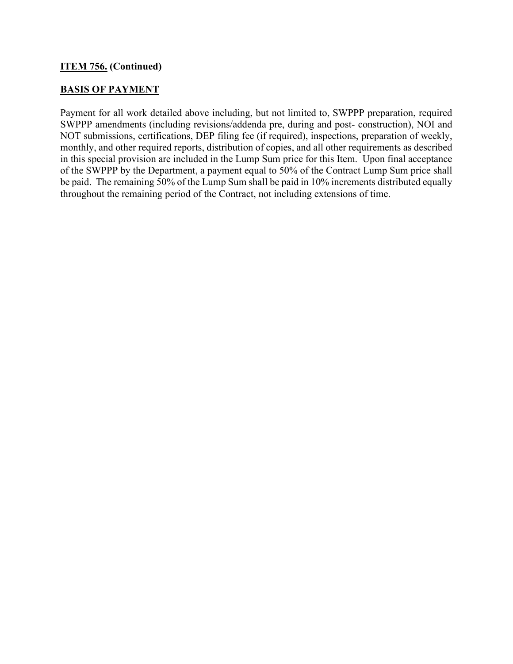# **ITEM 756. (Continued)**

## **BASIS OF PAYMENT**

Payment for all work detailed above including, but not limited to, SWPPP preparation, required SWPPP amendments (including revisions/addenda pre, during and post- construction), NOI and NOT submissions, certifications, DEP filing fee (if required), inspections, preparation of weekly, monthly, and other required reports, distribution of copies, and all other requirements as described in this special provision are included in the Lump Sum price for this Item. Upon final acceptance of the SWPPP by the Department, a payment equal to 50% of the Contract Lump Sum price shall be paid. The remaining 50% of the Lump Sum shall be paid in 10% increments distributed equally throughout the remaining period of the Contract, not including extensions of time.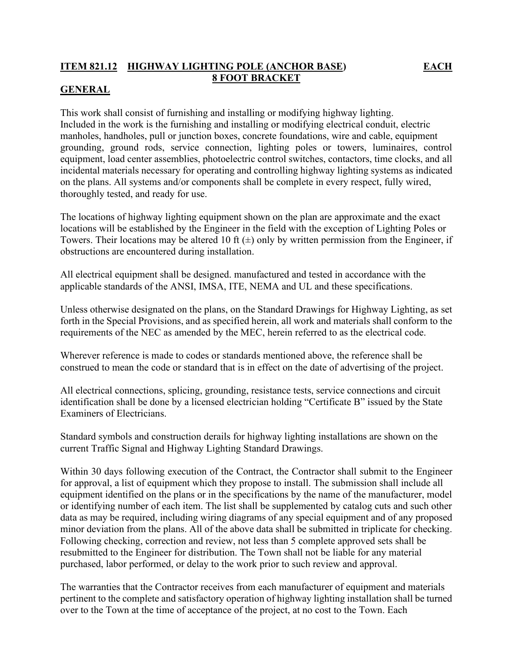# **ITEM 821.12 HIGHWAY LIGHTING POLE (ANCHOR BASE) EACH 8 FOOT BRACKET**

# **GENERAL**

This work shall consist of furnishing and installing or modifying highway lighting. Included in the work is the furnishing and installing or modifying electrical conduit, electric manholes, handholes, pull or junction boxes, concrete foundations, wire and cable, equipment grounding, ground rods, service connection, lighting poles or towers, luminaires, control equipment, load center assemblies, photoelectric control switches, contactors, time clocks, and all incidental materials necessary for operating and controlling highway lighting systems as indicated on the plans. All systems and/or components shall be complete in every respect, fully wired, thoroughly tested, and ready for use.

The locations of highway lighting equipment shown on the plan are approximate and the exact locations will be established by the Engineer in the field with the exception of Lighting Poles or Towers. Their locations may be altered 10 ft  $(\pm)$  only by written permission from the Engineer, if obstructions are encountered during installation.

All electrical equipment shall be designed. manufactured and tested in accordance with the applicable standards of the ANSI, IMSA, ITE, NEMA and UL and these specifications.

Unless otherwise designated on the plans, on the Standard Drawings for Highway Lighting, as set forth in the Special Provisions, and as specified herein, all work and materials shall conform to the requirements of the NEC as amended by the MEC, herein referred to as the electrical code.

Wherever reference is made to codes or standards mentioned above, the reference shall be construed to mean the code or standard that is in effect on the date of advertising of the project.

All electrical connections, splicing, grounding, resistance tests, service connections and circuit identification shall be done by a licensed electrician holding "Certificate B" issued by the State Examiners of Electricians.

Standard symbols and construction derails for highway lighting installations are shown on the current Traffic Signal and Highway Lighting Standard Drawings.

Within 30 days following execution of the Contract, the Contractor shall submit to the Engineer for approval, a list of equipment which they propose to install. The submission shall include all equipment identified on the plans or in the specifications by the name of the manufacturer, model or identifying number of each item. The list shall be supplemented by catalog cuts and such other data as may be required, including wiring diagrams of any special equipment and of any proposed minor deviation from the plans. All of the above data shall be submitted in triplicate for checking. Following checking, correction and review, not less than 5 complete approved sets shall be resubmitted to the Engineer for distribution. The Town shall not be liable for any material purchased, labor performed, or delay to the work prior to such review and approval.

The warranties that the Contractor receives from each manufacturer of equipment and materials pertinent to the complete and satisfactory operation of highway lighting installation shall be turned over to the Town at the time of acceptance of the project, at no cost to the Town. Each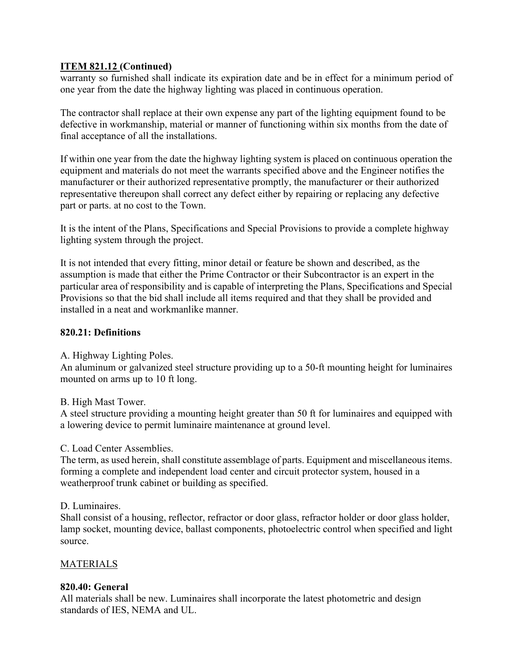warranty so furnished shall indicate its expiration date and be in effect for a minimum period of one year from the date the highway lighting was placed in continuous operation.

The contractor shall replace at their own expense any part of the lighting equipment found to be defective in workmanship, material or manner of functioning within six months from the date of final acceptance of all the installations.

If within one year from the date the highway lighting system is placed on continuous operation the equipment and materials do not meet the warrants specified above and the Engineer notifies the manufacturer or their authorized representative promptly, the manufacturer or their authorized representative thereupon shall correct any defect either by repairing or replacing any defective part or parts. at no cost to the Town.

It is the intent of the Plans, Specifications and Special Provisions to provide a complete highway lighting system through the project.

It is not intended that every fitting, minor detail or feature be shown and described, as the assumption is made that either the Prime Contractor or their Subcontractor is an expert in the particular area of responsibility and is capable of interpreting the Plans, Specifications and Special Provisions so that the bid shall include all items required and that they shall be provided and installed in a neat and workmanlike manner.

# **820.21: Definitions**

A. Highway Lighting Poles.

An aluminum or galvanized steel structure providing up to a 50-ft mounting height for luminaires mounted on arms up to 10 ft long.

B. High Mast Tower.

A steel structure providing a mounting height greater than 50 ft for luminaires and equipped with a lowering device to permit luminaire maintenance at ground level.

# C. Load Center Assemblies.

The term, as used herein, shall constitute assemblage of parts. Equipment and miscellaneous items. forming a complete and independent load center and circuit protector system, housed in a weatherproof trunk cabinet or building as specified.

## D. Luminaires.

Shall consist of a housing, reflector, refractor or door glass, refractor holder or door glass holder, lamp socket, mounting device, ballast components, photoelectric control when specified and light source.

# **MATERIALS**

# **820.40: General**

All materials shall be new. Luminaires shall incorporate the latest photometric and design standards of IES, NEMA and UL.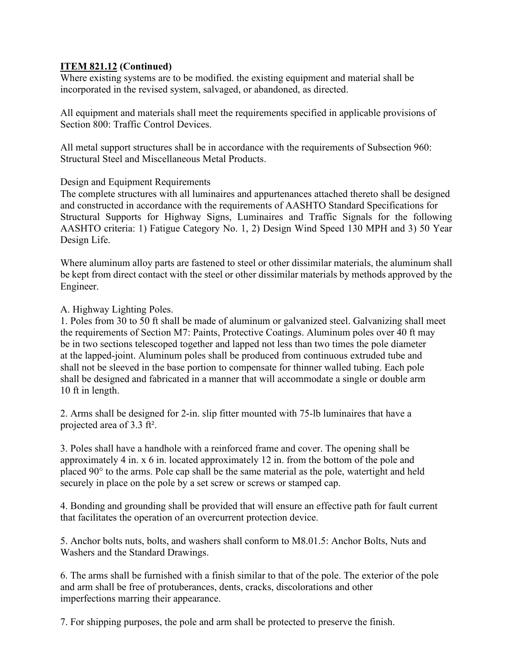Where existing systems are to be modified. the existing equipment and material shall be incorporated in the revised system, salvaged, or abandoned, as directed.

All equipment and materials shall meet the requirements specified in applicable provisions of Section 800: Traffic Control Devices.

All metal support structures shall be in accordance with the requirements of Subsection 960: Structural Steel and Miscellaneous Metal Products.

Design and Equipment Requirements

The complete structures with all luminaires and appurtenances attached thereto shall be designed and constructed in accordance with the requirements of AASHTO Standard Specifications for Structural Supports for Highway Signs, Luminaires and Traffic Signals for the following AASHTO criteria: 1) Fatigue Category No. 1, 2) Design Wind Speed 130 MPH and 3) 50 Year Design Life.

Where aluminum alloy parts are fastened to steel or other dissimilar materials, the aluminum shall be kept from direct contact with the steel or other dissimilar materials by methods approved by the Engineer.

A. Highway Lighting Poles.

1. Poles from 30 to 50 ft shall be made of aluminum or galvanized steel. Galvanizing shall meet the requirements of Section M7: Paints, Protective Coatings. Aluminum poles over 40 ft may be in two sections telescoped together and lapped not less than two times the pole diameter at the lapped-joint. Aluminum poles shall be produced from continuous extruded tube and shall not be sleeved in the base portion to compensate for thinner walled tubing. Each pole shall be designed and fabricated in a manner that will accommodate a single or double arm 10 ft in length.

2. Arms shall be designed for 2-in. slip fitter mounted with 75-lb luminaires that have a projected area of 3.3 ft².

3. Poles shall have a handhole with a reinforced frame and cover. The opening shall be approximately 4 in. x 6 in. located approximately 12 in. from the bottom of the pole and placed  $90^\circ$  to the arms. Pole cap shall be the same material as the pole, watertight and held securely in place on the pole by a set screw or screws or stamped cap.

4. Bonding and grounding shall be provided that will ensure an effective path for fault current that facilitates the operation of an overcurrent protection device.

5. Anchor bolts nuts, bolts, and washers shall conform to M8.01.5: Anchor Bolts, Nuts and Washers and the Standard Drawings.

6. The arms shall be furnished with a finish similar to that of the pole. The exterior of the pole and arm shall be free of protuberances, dents, cracks, discolorations and other imperfections marring their appearance.

7. For shipping purposes, the pole and arm shall be protected to preserve the finish.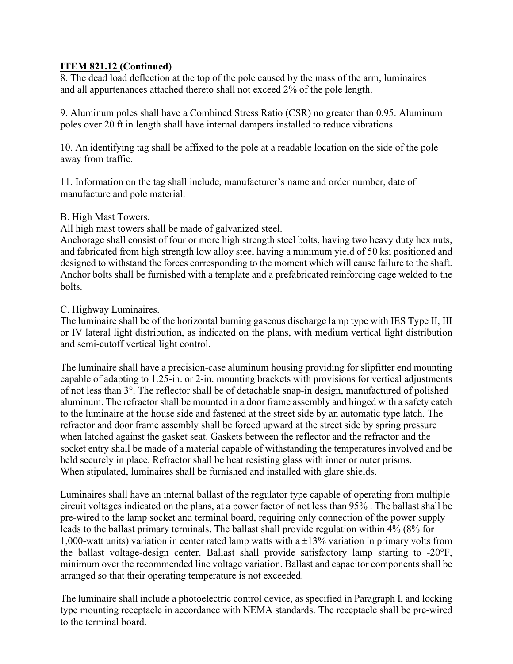8. The dead load deflection at the top of the pole caused by the mass of the arm, luminaires and all appurtenances attached thereto shall not exceed 2% of the pole length.

9. Aluminum poles shall have a Combined Stress Ratio (CSR) no greater than 0.95. Aluminum poles over 20 ft in length shall have internal dampers installed to reduce vibrations.

10. An identifying tag shall be affixed to the pole at a readable location on the side of the pole away from traffic.

11. Information on the tag shall include, manufacturer's name and order number, date of manufacture and pole material.

## B. High Mast Towers.

All high mast towers shall be made of galvanized steel.

Anchorage shall consist of four or more high strength steel bolts, having two heavy duty hex nuts, and fabricated from high strength low alloy steel having a minimum yield of 50 ksi positioned and designed to withstand the forces corresponding to the moment which will cause failure to the shaft. Anchor bolts shall be furnished with a template and a prefabricated reinforcing cage welded to the bolts.

## C. Highway Luminaires.

The luminaire shall be of the horizontal burning gaseous discharge lamp type with IES Type II, III or IV lateral light distribution, as indicated on the plans, with medium vertical light distribution and semi-cutoff vertical light control.

The luminaire shall have a precision-case aluminum housing providing for slipfitter end mounting capable of adapting to 1.25-in. or 2-in. mounting brackets with provisions for vertical adjustments of not less than 3°. The reflector shall be of detachable snap-in design, manufactured of polished aluminum. The refractor shall be mounted in a door frame assembly and hinged with a safety catch to the luminaire at the house side and fastened at the street side by an automatic type latch. The refractor and door frame assembly shall be forced upward at the street side by spring pressure when latched against the gasket seat. Gaskets between the reflector and the refractor and the socket entry shall be made of a material capable of withstanding the temperatures involved and be held securely in place. Refractor shall be heat resisting glass with inner or outer prisms. When stipulated, luminaires shall be furnished and installed with glare shields.

Luminaires shall have an internal ballast of the regulator type capable of operating from multiple circuit voltages indicated on the plans, at a power factor of not less than 95% . The ballast shall be pre-wired to the lamp socket and terminal board, requiring only connection of the power supply leads to the ballast primary terminals. The ballast shall provide regulation within 4% (8% for 1,000-watt units) variation in center rated lamp watts with a  $\pm$ 13% variation in primary volts from the ballast voltage-design center. Ballast shall provide satisfactory lamp starting to -20°F, minimum over the recommended line voltage variation. Ballast and capacitor components shall be arranged so that their operating temperature is not exceeded.

The luminaire shall include a photoelectric control device, as specified in Paragraph I, and locking type mounting receptacle in accordance with NEMA standards. The receptacle shall be pre-wired to the terminal board.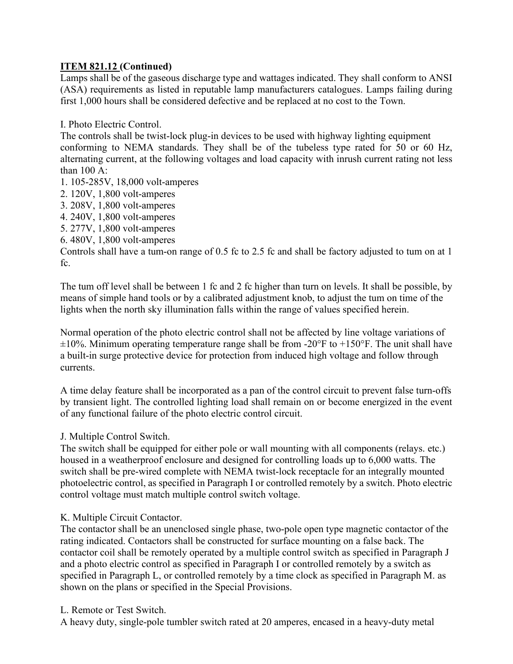Lamps shall be of the gaseous discharge type and wattages indicated. They shall conform to ANSI (ASA) requirements as listed in reputable lamp manufacturers catalogues. Lamps failing during first 1,000 hours shall be considered defective and be replaced at no cost to the Town.

I. Photo Electric Control.

The controls shall be twist-lock plug-in devices to be used with highway lighting equipment conforming to NEMA standards. They shall be of the tubeless type rated for 50 or 60 Hz, alternating current, at the following voltages and load capacity with inrush current rating not less than 100 A:

- 1. 105-285V, 18,000 volt-amperes
- 2. 120V, 1,800 volt-amperes
- 3. 208V, 1,800 volt-amperes
- 4. 240V, 1,800 volt-amperes
- 5. 277V, 1,800 volt-amperes
- 6. 480V, 1,800 volt-amperes

Controls shall have a tum-on range of 0.5 fc to 2.5 fc and shall be factory adjusted to tum on at 1 fc.

The tum off level shall be between 1 fc and 2 fc higher than turn on levels. It shall be possible, by means of simple hand tools or by a calibrated adjustment knob, to adjust the tum on time of the lights when the north sky illumination falls within the range of values specified herein.

Normal operation of the photo electric control shall not be affected by line voltage variations of  $\pm 10\%$ . Minimum operating temperature range shall be from -20°F to +150°F. The unit shall have a built-in surge protective device for protection from induced high voltage and follow through currents.

A time delay feature shall be incorporated as a pan of the control circuit to prevent false turn-offs by transient light. The controlled lighting load shall remain on or become energized in the event of any functional failure of the photo electric control circuit.

J. Multiple Control Switch.

The switch shall be equipped for either pole or wall mounting with all components (relays. etc.) housed in a weatherproof enclosure and designed for controlling loads up to 6,000 watts. The switch shall be pre-wired complete with NEMA twist-lock receptacle for an integrally mounted photoelectric control, as specified in Paragraph I or controlled remotely by a switch. Photo electric control voltage must match multiple control switch voltage.

# K. Multiple Circuit Contactor.

The contactor shall be an unenclosed single phase, two-pole open type magnetic contactor of the rating indicated. Contactors shall be constructed for surface mounting on a false back. The contactor coil shall be remotely operated by a multiple control switch as specified in Paragraph J and a photo electric control as specified in Paragraph I or controlled remotely by a switch as specified in Paragraph L, or controlled remotely by a time clock as specified in Paragraph M. as shown on the plans or specified in the Special Provisions.

## L. Remote or Test Switch.

A heavy duty, single-pole tumbler switch rated at 20 amperes, encased in a heavy-duty metal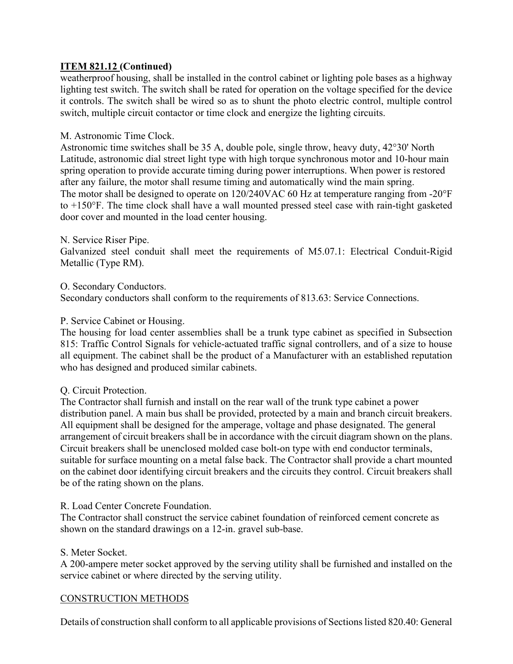weatherproof housing, shall be installed in the control cabinet or lighting pole bases as a highway lighting test switch. The switch shall be rated for operation on the voltage specified for the device it controls. The switch shall be wired so as to shunt the photo electric control, multiple control switch, multiple circuit contactor or time clock and energize the lighting circuits.

## M. Astronomic Time Clock.

Astronomic time switches shall be 35 A, double pole, single throw, heavy duty, 42°30' North Latitude, astronomic dial street light type with high torque synchronous motor and 10-hour main spring operation to provide accurate timing during power interruptions. When power is restored after any failure, the motor shall resume timing and automatically wind the main spring. The motor shall be designed to operate on 120/240VAC 60 Hz at temperature ranging from -20°F to +150°F. The time clock shall have a wall mounted pressed steel case with rain-tight gasketed door cover and mounted in the load center housing.

## N. Service Riser Pipe.

Galvanized steel conduit shall meet the requirements of M5.07.1: Electrical Conduit-Rigid Metallic (Type RM).

## O. Secondary Conductors.

Secondary conductors shall conform to the requirements of 813.63: Service Connections.

## P. Service Cabinet or Housing.

The housing for load center assemblies shall be a trunk type cabinet as specified in Subsection 815: Traffic Control Signals for vehicle-actuated traffic signal controllers, and of a size to house all equipment. The cabinet shall be the product of a Manufacturer with an established reputation who has designed and produced similar cabinets.

## Q. Circuit Protection.

The Contractor shall furnish and install on the rear wall of the trunk type cabinet a power distribution panel. A main bus shall be provided, protected by a main and branch circuit breakers. All equipment shall be designed for the amperage, voltage and phase designated. The general arrangement of circuit breakers shall be in accordance with the circuit diagram shown on the plans. Circuit breakers shall be unenclosed molded case bolt-on type with end conductor terminals, suitable for surface mounting on a metal false back. The Contractor shall provide a chart mounted on the cabinet door identifying circuit breakers and the circuits they control. Circuit breakers shall be of the rating shown on the plans.

## R. Load Center Concrete Foundation.

The Contractor shall construct the service cabinet foundation of reinforced cement concrete as shown on the standard drawings on a 12-in. gravel sub-base.

## S. Meter Socket.

A 200-ampere meter socket approved by the serving utility shall be furnished and installed on the service cabinet or where directed by the serving utility.

## CONSTRUCTION METHODS

Details of construction shall conform to all applicable provisions of Sections listed 820.40: General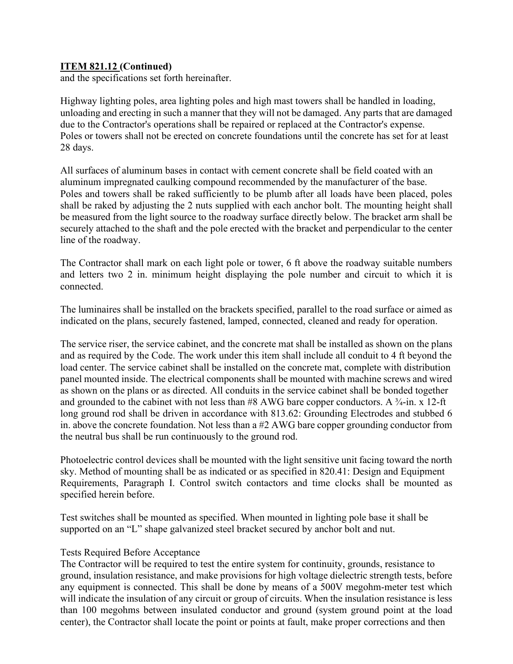and the specifications set forth hereinafter.

Highway lighting poles, area lighting poles and high mast towers shall be handled in loading, unloading and erecting in such a manner that they will not be damaged. Any parts that are damaged due to the Contractor's operations shall be repaired or replaced at the Contractor's expense. Poles or towers shall not be erected on concrete foundations until the concrete has set for at least 28 days.

All surfaces of aluminum bases in contact with cement concrete shall be field coated with an aluminum impregnated caulking compound recommended by the manufacturer of the base. Poles and towers shall be raked sufficiently to be plumb after all loads have been placed, poles shall be raked by adjusting the 2 nuts supplied with each anchor bolt. The mounting height shall be measured from the light source to the roadway surface directly below. The bracket arm shall be securely attached to the shaft and the pole erected with the bracket and perpendicular to the center line of the roadway.

The Contractor shall mark on each light pole or tower, 6 ft above the roadway suitable numbers and letters two 2 in. minimum height displaying the pole number and circuit to which it is connected.

The luminaires shall be installed on the brackets specified, parallel to the road surface or aimed as indicated on the plans, securely fastened, lamped, connected, cleaned and ready for operation.

The service riser, the service cabinet, and the concrete mat shall be installed as shown on the plans and as required by the Code. The work under this item shall include all conduit to 4 ft beyond the load center. The service cabinet shall be installed on the concrete mat, complete with distribution panel mounted inside. The electrical components shall be mounted with machine screws and wired as shown on the plans or as directed. All conduits in the service cabinet shall be bonded together and grounded to the cabinet with not less than  $\#8$  AWG bare copper conductors. A  $\frac{3}{4}$ -in. x 12-ft long ground rod shall be driven in accordance with 813.62: Grounding Electrodes and stubbed 6 in. above the concrete foundation. Not less than a #2 AWG bare copper grounding conductor from the neutral bus shall be run continuously to the ground rod.

Photoelectric control devices shall be mounted with the light sensitive unit facing toward the north sky. Method of mounting shall be as indicated or as specified in 820.41: Design and Equipment Requirements, Paragraph I. Control switch contactors and time clocks shall be mounted as specified herein before.

Test switches shall be mounted as specified. When mounted in lighting pole base it shall be supported on an "L" shape galvanized steel bracket secured by anchor bolt and nut.

## Tests Required Before Acceptance

The Contractor will be required to test the entire system for continuity, grounds, resistance to ground, insulation resistance, and make provisions for high voltage dielectric strength tests, before any equipment is connected. This shall be done by means of a 500V megohm-meter test which will indicate the insulation of any circuit or group of circuits. When the insulation resistance is less than 100 megohms between insulated conductor and ground (system ground point at the load center), the Contractor shall locate the point or points at fault, make proper corrections and then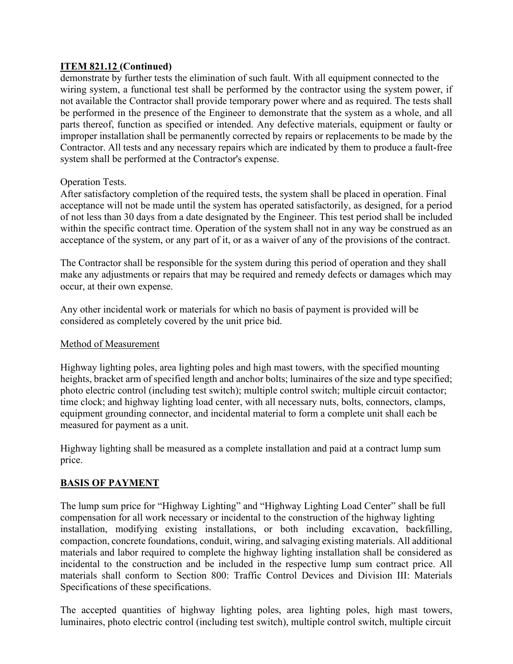demonstrate by further tests the elimination of such fault. With all equipment connected to the wiring system, a functional test shall be performed by the contractor using the system power, if not available the Contractor shall provide temporary power where and as required. The tests shall be performed in the presence of the Engineer to demonstrate that the system as a whole, and all parts thereof, function as specified or intended. Any defective materials, equipment or faulty or improper installation shall be permanently corrected by repairs or replacements to be made by the Contractor. All tests and any necessary repairs which are indicated by them to produce a fault-free system shall be performed at the Contractor's expense.

# Operation Tests.

After satisfactory completion of the required tests, the system shall be placed in operation. Final acceptance will not be made until the system has operated satisfactorily, as designed, for a period of not less than 30 days from a date designated by the Engineer. This test period shall be included within the specific contract time. Operation of the system shall not in any way be construed as an acceptance of the system, or any part of it, or as a waiver of any of the provisions of the contract.

The Contractor shall be responsible for the system during this period of operation and they shall make any adjustments or repairs that may be required and remedy defects or damages which may occur, at their own expense.

Any other incidental work or materials for which no basis of payment is provided will be considered as completely covered by the unit price bid.

# Method of Measurement

Highway lighting poles, area lighting poles and high mast towers, with the specified mounting heights, bracket arm of specified length and anchor bolts; luminaires of the size and type specified; photo electric control (including test switch); multiple control switch; multiple circuit contactor; time clock; and highway lighting load center, with all necessary nuts, bolts, connectors, clamps, equipment grounding connector, and incidental material to form a complete unit shall each be measured for payment as a unit.

Highway lighting shall be measured as a complete installation and paid at a contract lump sum price.

# **BASIS OF PAYMENT**

The lump sum price for "Highway Lighting" and "Highway Lighting Load Center" shall be full compensation for all work necessary or incidental to the construction of the highway lighting installation, modifying existing installations, or both including excavation, backfilling, compaction, concrete foundations, conduit, wiring, and salvaging existing materials. All additional materials and labor required to complete the highway lighting installation shall be considered as incidental to the construction and be included in the respective lump sum contract price. All materials shall conform to Section 800: Traffic Control Devices and Division III: Materials Specifications of these specifications.

The accepted quantities of highway lighting poles, area lighting poles, high mast towers, luminaires, photo electric control (including test switch), multiple control switch, multiple circuit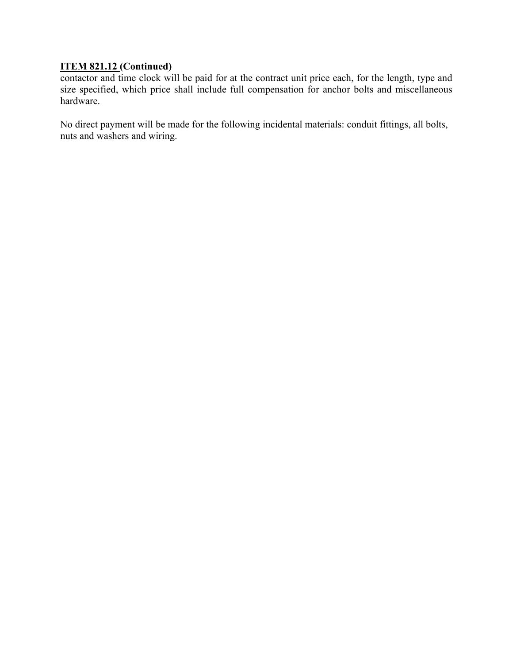contactor and time clock will be paid for at the contract unit price each, for the length, type and size specified, which price shall include full compensation for anchor bolts and miscellaneous hardware.

No direct payment will be made for the following incidental materials: conduit fittings, all bolts, nuts and washers and wiring.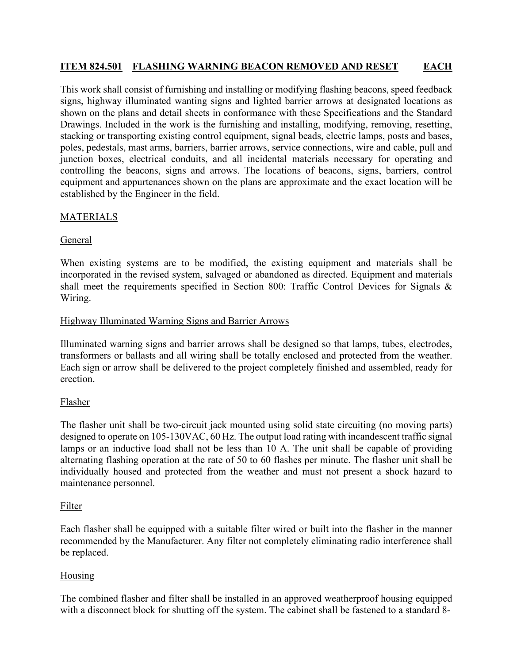# **ITEM 824.501 FLASHING WARNING BEACON REMOVED AND RESET EACH**

This work shall consist of furnishing and installing or modifying flashing beacons, speed feedback signs, highway illuminated wanting signs and lighted barrier arrows at designated locations as shown on the plans and detail sheets in conformance with these Specifications and the Standard Drawings. Included in the work is the furnishing and installing, modifying, removing, resetting, stacking or transporting existing control equipment, signal beads, electric lamps, posts and bases, poles, pedestals, mast arms, barriers, barrier arrows, service connections, wire and cable, pull and junction boxes, electrical conduits, and all incidental materials necessary for operating and controlling the beacons, signs and arrows. The locations of beacons, signs, barriers, control equipment and appurtenances shown on the plans are approximate and the exact location will be established by the Engineer in the field.

# **MATERIALS**

# General

When existing systems are to be modified, the existing equipment and materials shall be incorporated in the revised system, salvaged or abandoned as directed. Equipment and materials shall meet the requirements specified in Section 800: Traffic Control Devices for Signals & Wiring.

# Highway Illuminated Warning Signs and Barrier Arrows

Illuminated warning signs and barrier arrows shall be designed so that lamps, tubes, electrodes, transformers or ballasts and all wiring shall be totally enclosed and protected from the weather. Each sign or arrow shall be delivered to the project completely finished and assembled, ready for erection.

# Flasher

The flasher unit shall be two-circuit jack mounted using solid state circuiting (no moving parts) designed to operate on 105-130VAC, 60 Hz. The output load rating with incandescent traffic signal lamps or an inductive load shall not be less than 10 A. The unit shall be capable of providing alternating flashing operation at the rate of 50 to 60 flashes per minute. The flasher unit shall be individually housed and protected from the weather and must not present a shock hazard to maintenance personnel.

# Filter

Each flasher shall be equipped with a suitable filter wired or built into the flasher in the manner recommended by the Manufacturer. Any filter not completely eliminating radio interference shall be replaced.

# Housing

The combined flasher and filter shall be installed in an approved weatherproof housing equipped with a disconnect block for shutting off the system. The cabinet shall be fastened to a standard 8-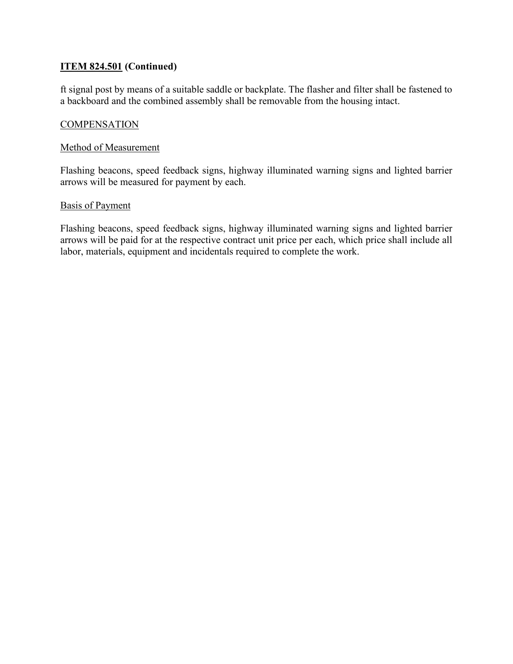# **ITEM 824.501 (Continued)**

ft signal post by means of a suitable saddle or backplate. The flasher and filter shall be fastened to a backboard and the combined assembly shall be removable from the housing intact.

## **COMPENSATION**

## Method of Measurement

Flashing beacons, speed feedback signs, highway illuminated warning signs and lighted barrier arrows will be measured for payment by each.

#### Basis of Payment

Flashing beacons, speed feedback signs, highway illuminated warning signs and lighted barrier arrows will be paid for at the respective contract unit price per each, which price shall include all labor, materials, equipment and incidentals required to complete the work.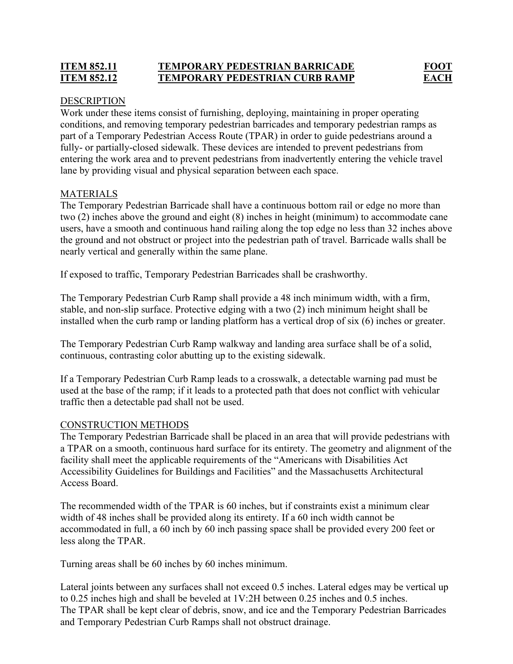# **ITEM 852.11 TEMPORARY PEDESTRIAN BARRICADE FOOT ITEM 852.12 TEMPORARY PEDESTRIAN CURB RAMP EACH**

## DESCRIPTION

Work under these items consist of furnishing, deploying, maintaining in proper operating conditions, and removing temporary pedestrian barricades and temporary pedestrian ramps as part of a Temporary Pedestrian Access Route (TPAR) in order to guide pedestrians around a fully- or partially-closed sidewalk. These devices are intended to prevent pedestrians from entering the work area and to prevent pedestrians from inadvertently entering the vehicle travel lane by providing visual and physical separation between each space.

# MATERIALS

The Temporary Pedestrian Barricade shall have a continuous bottom rail or edge no more than two (2) inches above the ground and eight (8) inches in height (minimum) to accommodate cane users, have a smooth and continuous hand railing along the top edge no less than 32 inches above the ground and not obstruct or project into the pedestrian path of travel. Barricade walls shall be nearly vertical and generally within the same plane.

If exposed to traffic, Temporary Pedestrian Barricades shall be crashworthy.

The Temporary Pedestrian Curb Ramp shall provide a 48 inch minimum width, with a firm, stable, and non-slip surface. Protective edging with a two (2) inch minimum height shall be installed when the curb ramp or landing platform has a vertical drop of six (6) inches or greater.

The Temporary Pedestrian Curb Ramp walkway and landing area surface shall be of a solid, continuous, contrasting color abutting up to the existing sidewalk.

If a Temporary Pedestrian Curb Ramp leads to a crosswalk, a detectable warning pad must be used at the base of the ramp; if it leads to a protected path that does not conflict with vehicular traffic then a detectable pad shall not be used.

# CONSTRUCTION METHODS

The Temporary Pedestrian Barricade shall be placed in an area that will provide pedestrians with a TPAR on a smooth, continuous hard surface for its entirety. The geometry and alignment of the facility shall meet the applicable requirements of the "Americans with Disabilities Act Accessibility Guidelines for Buildings and Facilities" and the Massachusetts Architectural Access Board.

The recommended width of the TPAR is 60 inches, but if constraints exist a minimum clear width of 48 inches shall be provided along its entirety. If a 60 inch width cannot be accommodated in full, a 60 inch by 60 inch passing space shall be provided every 200 feet or less along the TPAR.

Turning areas shall be 60 inches by 60 inches minimum.

Lateral joints between any surfaces shall not exceed 0.5 inches. Lateral edges may be vertical up to 0.25 inches high and shall be beveled at 1V:2H between 0.25 inches and 0.5 inches. The TPAR shall be kept clear of debris, snow, and ice and the Temporary Pedestrian Barricades and Temporary Pedestrian Curb Ramps shall not obstruct drainage.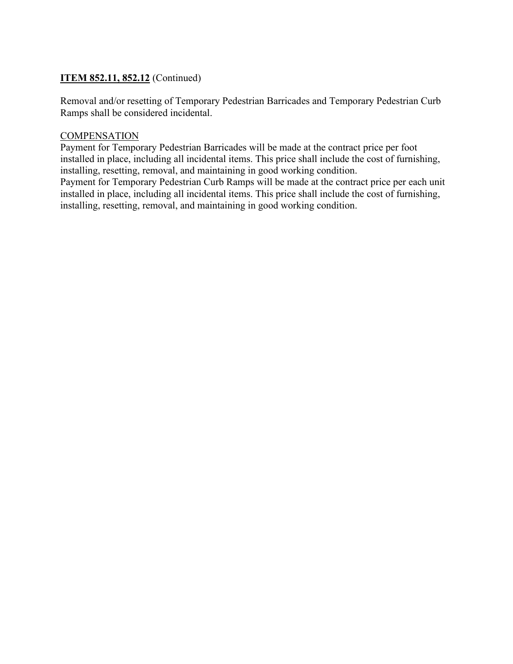# **ITEM 852.11, 852.12** (Continued)

Removal and/or resetting of Temporary Pedestrian Barricades and Temporary Pedestrian Curb Ramps shall be considered incidental.

## **COMPENSATION**

Payment for Temporary Pedestrian Barricades will be made at the contract price per foot installed in place, including all incidental items. This price shall include the cost of furnishing, installing, resetting, removal, and maintaining in good working condition. Payment for Temporary Pedestrian Curb Ramps will be made at the contract price per each unit

installed in place, including all incidental items. This price shall include the cost of furnishing, installing, resetting, removal, and maintaining in good working condition.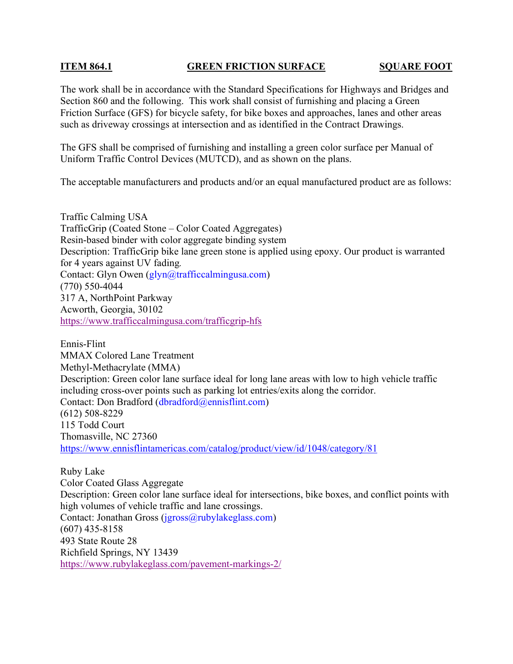## **ITEM 864.1 GREEN FRICTION SURFACE SQUARE FOOT**

The work shall be in accordance with the Standard Specifications for Highways and Bridges and Section 860 and the following. This work shall consist of furnishing and placing a Green Friction Surface (GFS) for bicycle safety, for bike boxes and approaches, lanes and other areas such as driveway crossings at intersection and as identified in the Contract Drawings.

The GFS shall be comprised of furnishing and installing a green color surface per Manual of Uniform Traffic Control Devices (MUTCD), and as shown on the plans.

The acceptable manufacturers and products and/or an equal manufactured product are as follows:

Traffic Calming USA TrafficGrip (Coated Stone – Color Coated Aggregates) Resin-based binder with color aggregate binding system Description: TrafficGrip bike lane green stone is applied using epoxy. Our product is warranted for 4 years against UV fading*.*  Contact: Glyn Owen (glyn@trafficcalmingusa.com) (770) 550-4044 317 A, NorthPoint Parkway Acworth, Georgia, 30102 https://www.trafficcalmingusa.com/trafficgrip-hfs

Ennis-Flint MMAX Colored Lane Treatment Methyl-Methacrylate (MMA) Description: Green color lane surface ideal for long lane areas with low to high vehicle traffic including cross-over points such as parking lot entries/exits along the corridor. Contact: Don Bradford (dbradford@ennisflint.com) (612) 508-8229 115 Todd Court Thomasville, NC 27360 https://www.ennisflintamericas.com/catalog/product/view/id/1048/category/81

Ruby Lake Color Coated Glass Aggregate Description: Green color lane surface ideal for intersections, bike boxes, and conflict points with high volumes of vehicle traffic and lane crossings. Contact: Jonathan Gross (jgross@rubylakeglass.com) (607) 435-8158 493 State Route 28 Richfield Springs, NY 13439 https://www.rubylakeglass.com/pavement-markings-2/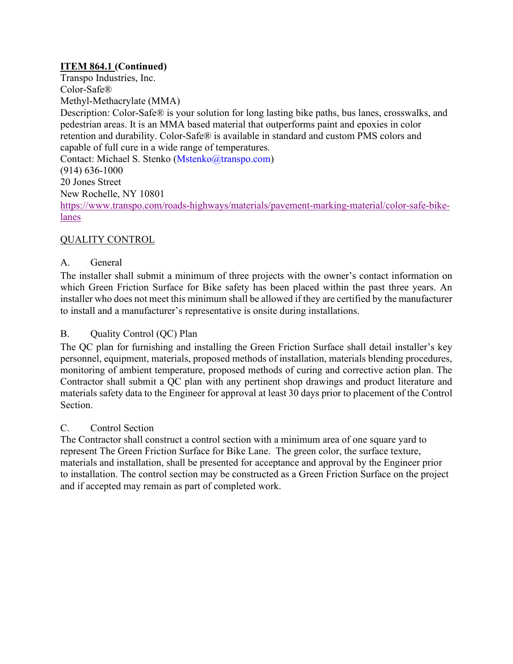# **ITEM 864.1 (Continued)**

Transpo Industries, Inc. Color-Safe® Methyl-Methacrylate (MMA) Description: Color-Safe® is your solution for long lasting bike paths, bus lanes, crosswalks, and pedestrian areas. It is an MMA based material that outperforms paint and epoxies in color retention and durability. Color-Safe® is available in standard and custom PMS colors and capable of full cure in a wide range of temperatures. Contact: Michael S. Stenko (Mstenko@transpo.com) (914) 636-1000 20 Jones Street New Rochelle, NY 10801 https://www.transpo.com/roads-highways/materials/pavement-marking-material/color-safe-bikelanes

# QUALITY CONTROL

# A. General

The installer shall submit a minimum of three projects with the owner's contact information on which Green Friction Surface for Bike safety has been placed within the past three years. An installer who does not meet this minimum shall be allowed if they are certified by the manufacturer to install and a manufacturer's representative is onsite during installations.

# B. Quality Control (QC) Plan

The QC plan for furnishing and installing the Green Friction Surface shall detail installer's key personnel, equipment, materials, proposed methods of installation, materials blending procedures, monitoring of ambient temperature, proposed methods of curing and corrective action plan. The Contractor shall submit a QC plan with any pertinent shop drawings and product literature and materials safety data to the Engineer for approval at least 30 days prior to placement of the Control Section.

# C. Control Section

The Contractor shall construct a control section with a minimum area of one square yard to represent The Green Friction Surface for Bike Lane. The green color, the surface texture, materials and installation, shall be presented for acceptance and approval by the Engineer prior to installation. The control section may be constructed as a Green Friction Surface on the project and if accepted may remain as part of completed work.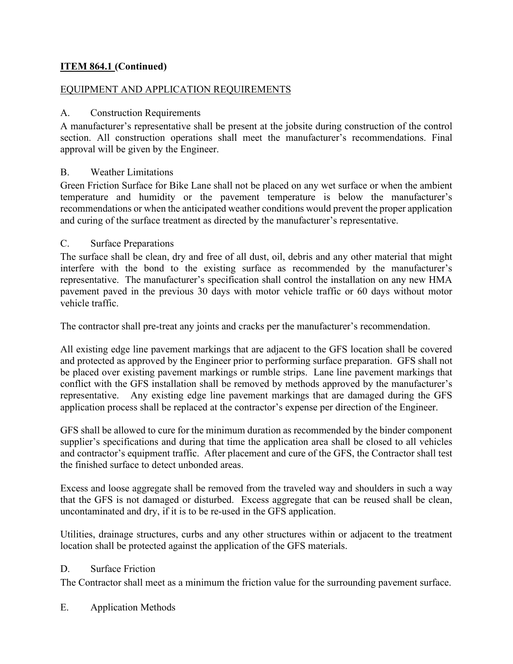# **ITEM 864.1 (Continued)**

## EQUIPMENT AND APPLICATION REQUIREMENTS

## A. Construction Requirements

A manufacturer's representative shall be present at the jobsite during construction of the control section. All construction operations shall meet the manufacturer's recommendations. Final approval will be given by the Engineer.

## B. Weather Limitations

Green Friction Surface for Bike Lane shall not be placed on any wet surface or when the ambient temperature and humidity or the pavement temperature is below the manufacturer's recommendations or when the anticipated weather conditions would prevent the proper application and curing of the surface treatment as directed by the manufacturer's representative.

## C. Surface Preparations

The surface shall be clean, dry and free of all dust, oil, debris and any other material that might interfere with the bond to the existing surface as recommended by the manufacturer's representative. The manufacturer's specification shall control the installation on any new HMA pavement paved in the previous 30 days with motor vehicle traffic or 60 days without motor vehicle traffic.

The contractor shall pre-treat any joints and cracks per the manufacturer's recommendation.

All existing edge line pavement markings that are adjacent to the GFS location shall be covered and protected as approved by the Engineer prior to performing surface preparation. GFS shall not be placed over existing pavement markings or rumble strips. Lane line pavement markings that conflict with the GFS installation shall be removed by methods approved by the manufacturer's representative. Any existing edge line pavement markings that are damaged during the GFS application process shall be replaced at the contractor's expense per direction of the Engineer.

GFS shall be allowed to cure for the minimum duration as recommended by the binder component supplier's specifications and during that time the application area shall be closed to all vehicles and contractor's equipment traffic. After placement and cure of the GFS, the Contractor shall test the finished surface to detect unbonded areas.

Excess and loose aggregate shall be removed from the traveled way and shoulders in such a way that the GFS is not damaged or disturbed. Excess aggregate that can be reused shall be clean, uncontaminated and dry, if it is to be re-used in the GFS application.

Utilities, drainage structures, curbs and any other structures within or adjacent to the treatment location shall be protected against the application of the GFS materials.

## D. Surface Friction

The Contractor shall meet as a minimum the friction value for the surrounding pavement surface.

## E. Application Methods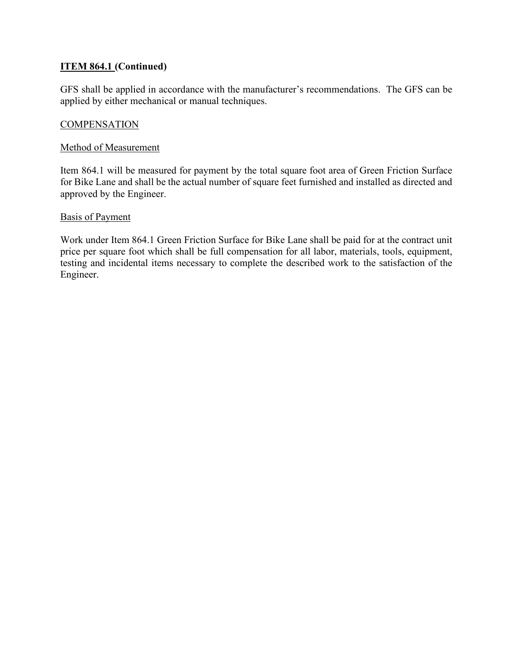# **ITEM 864.1 (Continued)**

GFS shall be applied in accordance with the manufacturer's recommendations. The GFS can be applied by either mechanical or manual techniques.

## **COMPENSATION**

#### Method of Measurement

Item 864.1 will be measured for payment by the total square foot area of Green Friction Surface for Bike Lane and shall be the actual number of square feet furnished and installed as directed and approved by the Engineer.

#### Basis of Payment

Work under Item 864.1 Green Friction Surface for Bike Lane shall be paid for at the contract unit price per square foot which shall be full compensation for all labor, materials, tools, equipment, testing and incidental items necessary to complete the described work to the satisfaction of the Engineer.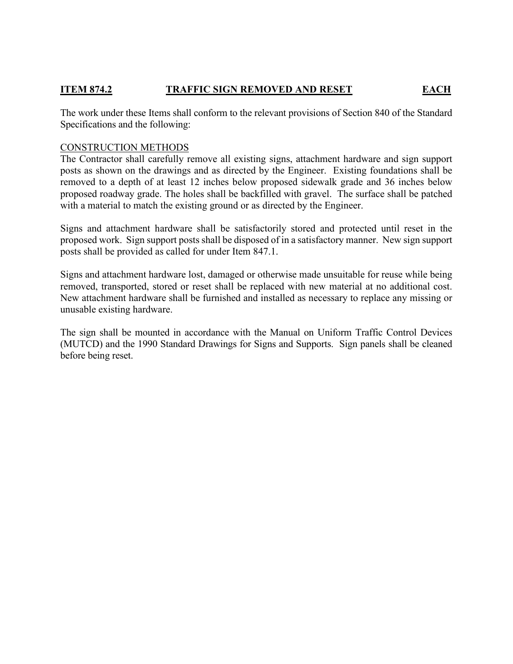# **ITEM 874.2 TRAFFIC SIGN REMOVED AND RESET EACH**

The work under these Items shall conform to the relevant provisions of Section 840 of the Standard Specifications and the following:

## CONSTRUCTION METHODS

The Contractor shall carefully remove all existing signs, attachment hardware and sign support posts as shown on the drawings and as directed by the Engineer. Existing foundations shall be removed to a depth of at least 12 inches below proposed sidewalk grade and 36 inches below proposed roadway grade. The holes shall be backfilled with gravel. The surface shall be patched with a material to match the existing ground or as directed by the Engineer.

Signs and attachment hardware shall be satisfactorily stored and protected until reset in the proposed work. Sign support posts shall be disposed of in a satisfactory manner. New sign support posts shall be provided as called for under Item 847.1.

Signs and attachment hardware lost, damaged or otherwise made unsuitable for reuse while being removed, transported, stored or reset shall be replaced with new material at no additional cost. New attachment hardware shall be furnished and installed as necessary to replace any missing or unusable existing hardware.

The sign shall be mounted in accordance with the Manual on Uniform Traffic Control Devices (MUTCD) and the 1990 Standard Drawings for Signs and Supports. Sign panels shall be cleaned before being reset.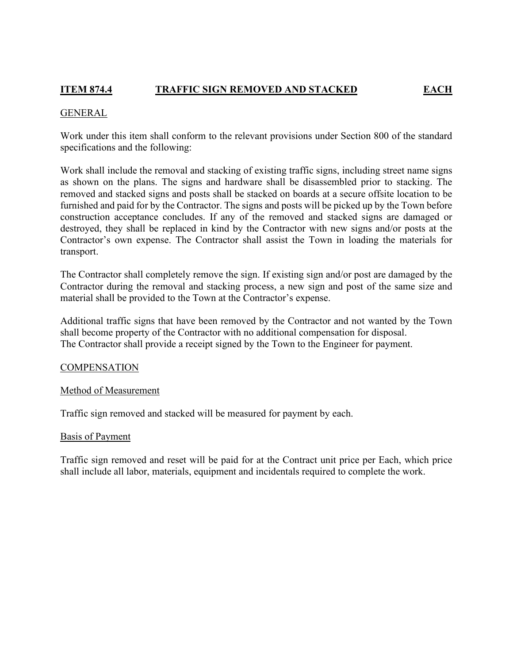# **ITEM 874.4 TRAFFIC SIGN REMOVED AND STACKED EACH**

#### GENERAL

Work under this item shall conform to the relevant provisions under Section 800 of the standard specifications and the following:

Work shall include the removal and stacking of existing traffic signs, including street name signs as shown on the plans. The signs and hardware shall be disassembled prior to stacking. The removed and stacked signs and posts shall be stacked on boards at a secure offsite location to be furnished and paid for by the Contractor. The signs and posts will be picked up by the Town before construction acceptance concludes. If any of the removed and stacked signs are damaged or destroyed, they shall be replaced in kind by the Contractor with new signs and/or posts at the Contractor's own expense. The Contractor shall assist the Town in loading the materials for transport.

The Contractor shall completely remove the sign. If existing sign and/or post are damaged by the Contractor during the removal and stacking process, a new sign and post of the same size and material shall be provided to the Town at the Contractor's expense.

Additional traffic signs that have been removed by the Contractor and not wanted by the Town shall become property of the Contractor with no additional compensation for disposal. The Contractor shall provide a receipt signed by the Town to the Engineer for payment.

## **COMPENSATION**

#### Method of Measurement

Traffic sign removed and stacked will be measured for payment by each.

#### Basis of Payment

Traffic sign removed and reset will be paid for at the Contract unit price per Each, which price shall include all labor, materials, equipment and incidentals required to complete the work.